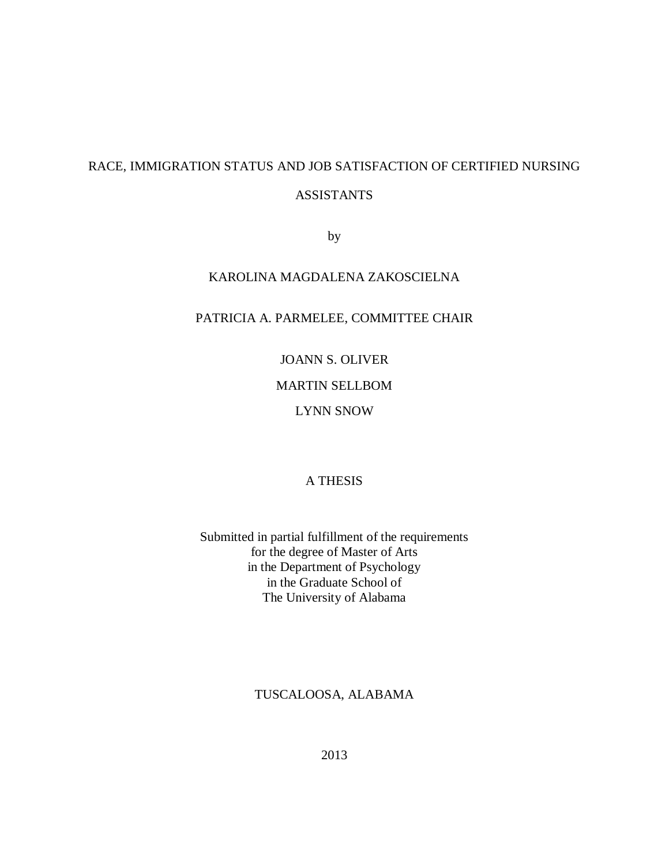# RACE, IMMIGRATION STATUS AND JOB SATISFACTION OF CERTIFIED NURSING ASSISTANTS

by

## KAROLINA MAGDALENA ZAKOSCIELNA

### PATRICIA A. PARMELEE, COMMITTEE CHAIR

JOANN S. OLIVER MARTIN SELLBOM LYNN SNOW

### A THESIS

Submitted in partial fulfillment of the requirements for the degree of Master of Arts in the Department of Psychology in the Graduate School of The University of Alabama

### TUSCALOOSA, ALABAMA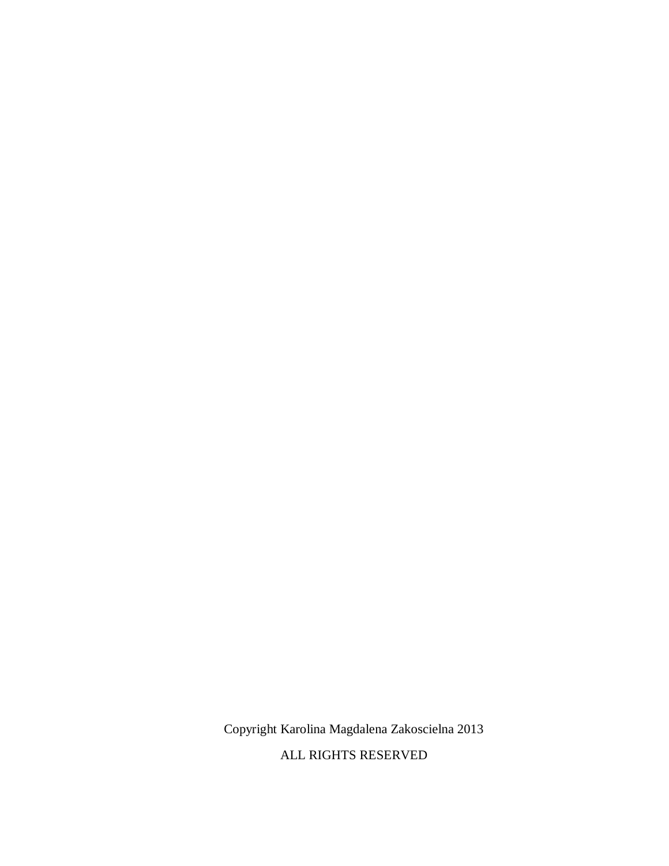Copyright Karolina Magdalena Zakoscielna 2013

ALL RIGHTS RESERVED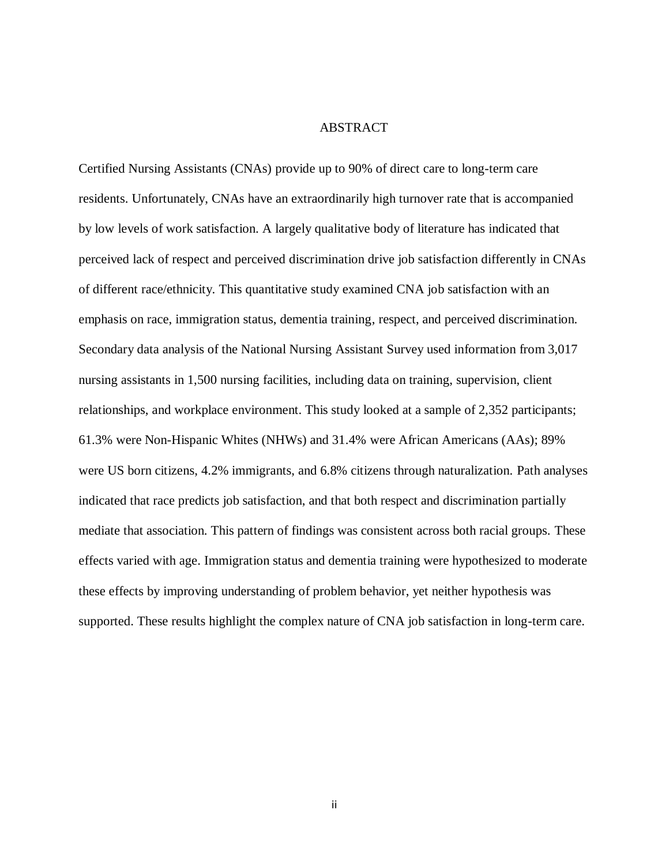#### ABSTRACT

Certified Nursing Assistants (CNAs) provide up to 90% of direct care to long-term care residents. Unfortunately, CNAs have an extraordinarily high turnover rate that is accompanied by low levels of work satisfaction. A largely qualitative body of literature has indicated that perceived lack of respect and perceived discrimination drive job satisfaction differently in CNAs of different race/ethnicity. This quantitative study examined CNA job satisfaction with an emphasis on race, immigration status, dementia training, respect, and perceived discrimination. Secondary data analysis of the National Nursing Assistant Survey used information from 3,017 nursing assistants in 1,500 nursing facilities, including data on training, supervision, client relationships, and workplace environment. This study looked at a sample of 2,352 participants; 61.3% were Non-Hispanic Whites (NHWs) and 31.4% were African Americans (AAs); 89% were US born citizens, 4.2% immigrants, and 6.8% citizens through naturalization. Path analyses indicated that race predicts job satisfaction, and that both respect and discrimination partially mediate that association. This pattern of findings was consistent across both racial groups. These effects varied with age. Immigration status and dementia training were hypothesized to moderate these effects by improving understanding of problem behavior, yet neither hypothesis was supported. These results highlight the complex nature of CNA job satisfaction in long-term care.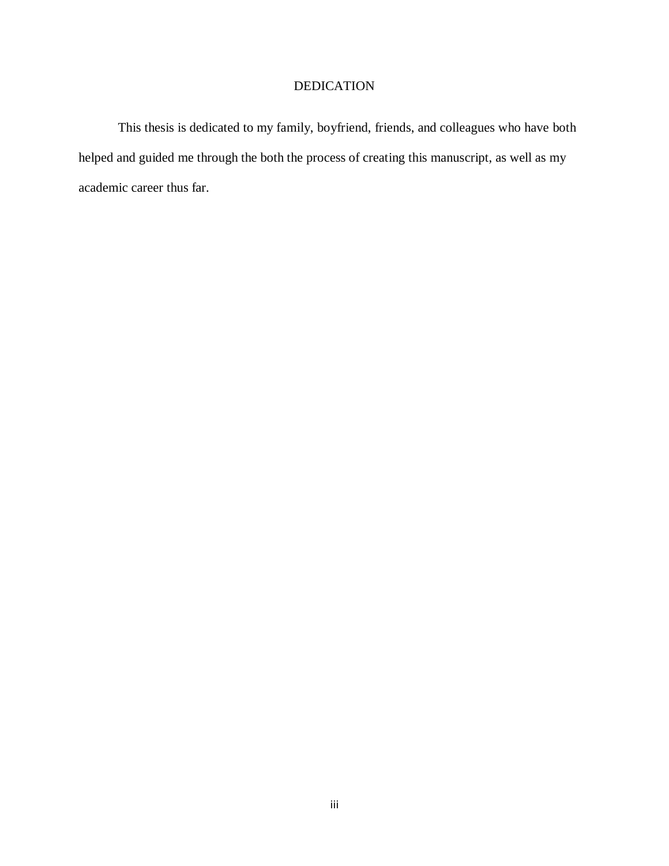## DEDICATION

This thesis is dedicated to my family, boyfriend, friends, and colleagues who have both helped and guided me through the both the process of creating this manuscript, as well as my academic career thus far.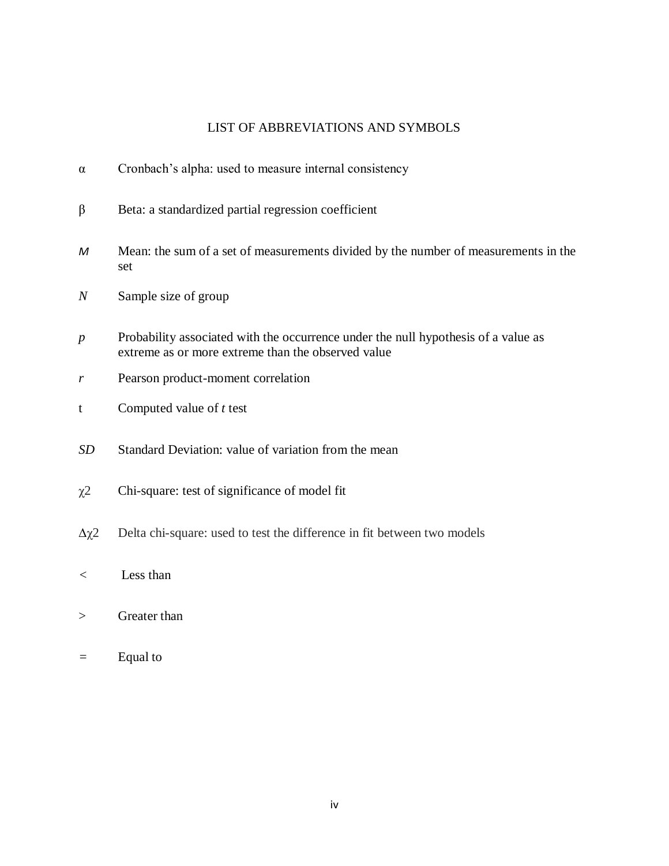### LIST OF ABBREVIATIONS AND SYMBOLS

- $\alpha$  Cronbach's alpha: used to measure internal consistency
- $β$  Beta: a standardized partial regression coefficient
- *M* Mean: the sum of a set of measurements divided by the number of measurements in the set
- *N* Sample size of group
- *p* Probability associated with the occurrence under the null hypothesis of a value as extreme as or more extreme than the observed value
- *r* Pearson product-moment correlation
- t Computed value of *t* test
- *SD* Standard Deviation: value of variation from the mean
- $\chi$ <sup>2</sup> Chi-square: test of significance of model fit
- $\Delta \chi$ <sup>2</sup> Delta chi-square: used to test the difference in fit between two models
- *<* Less than
- > Greater than
- *=* Equal to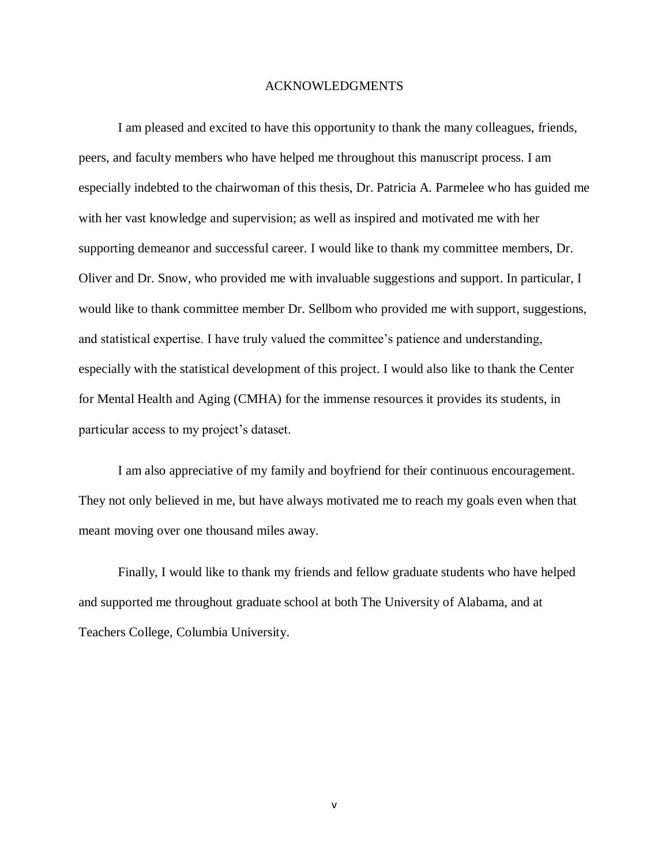#### ACKNOWLEDGMENTS

I am pleased and excited to have this opportunity to thank the many colleagues, friends, peers, and faculty members who have helped me throughout this manuscript process. I am especially indebted to the chairwoman of this thesis, Dr. Patricia A. Parmelee who has guided me with her vast knowledge and supervision; as well as inspired and motivated me with her supporting demeanor and successful career. I would like to thank my committee members, Dr. Oliver and Dr. Snow, who provided me with invaluable suggestions and support. In particular, I would like to thank committee member Dr. Sellbom who provided me with support, suggestions, and statistical expertise. I have truly valued the committee's patience and understanding, especially with the statistical development of this project. I would also like to thank the Center for Mental Health and Aging (CMHA) for the immense resources it provides its students, in particular access to my project's dataset.

I am also appreciative of my family and boyfriend for their continuous encouragement. They not only believed in me, but have always motivated me to reach my goals even when that meant moving over one thousand miles away.

Finally, I would like to thank my friends and fellow graduate students who have helped and supported me throughout graduate school at both The University of Alabama, and at Teachers College, Columbia University.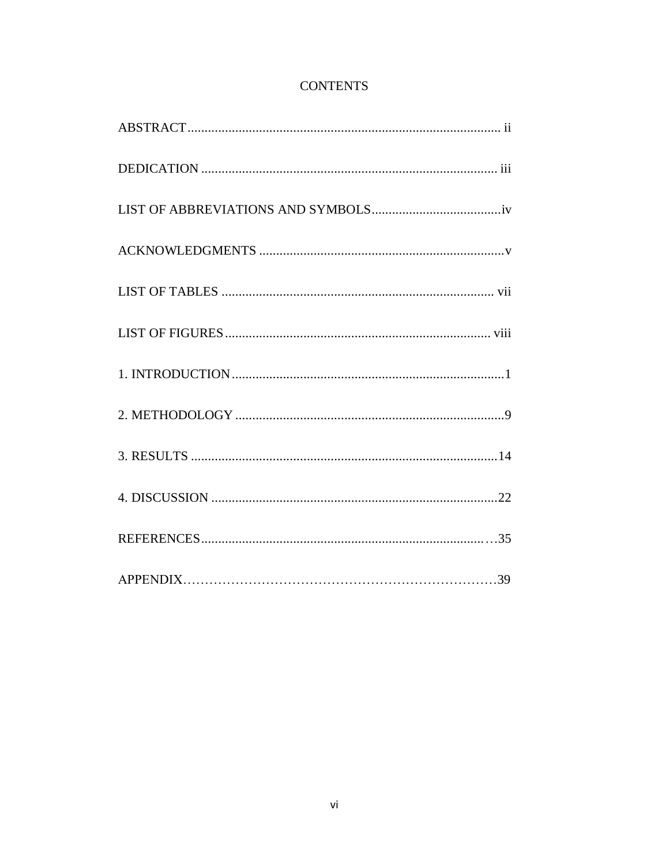## **CONTENTS**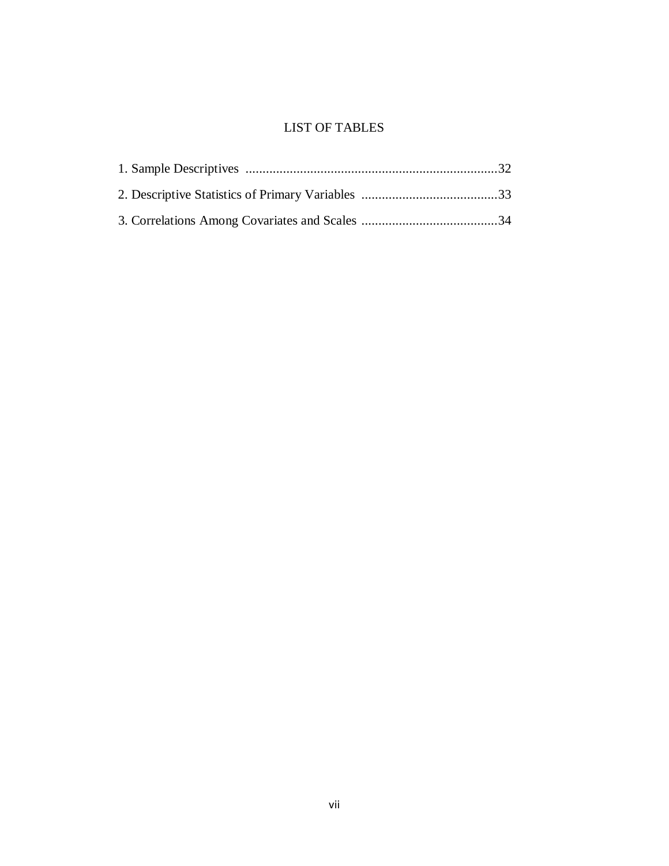## LIST OF TABLES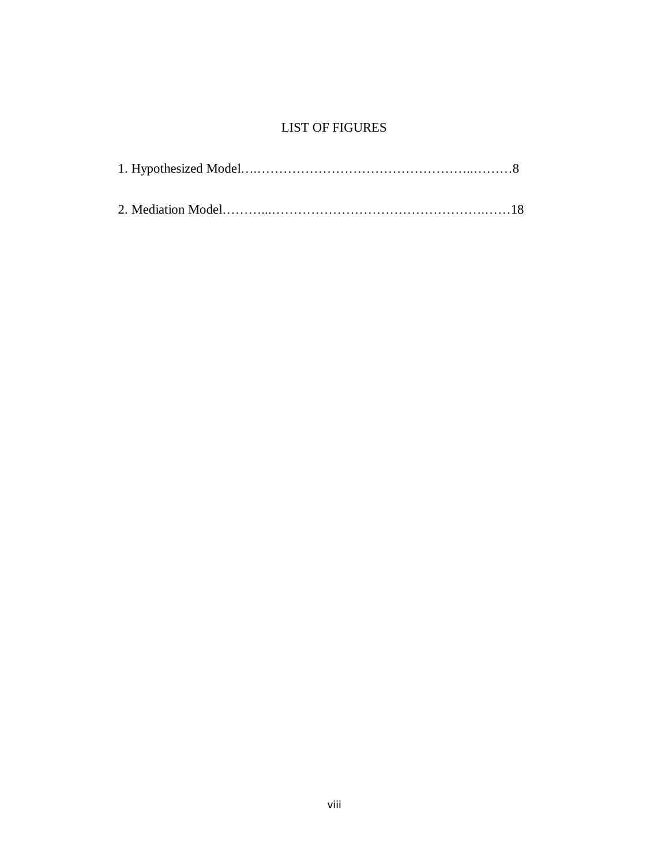## LIST OF FIGURES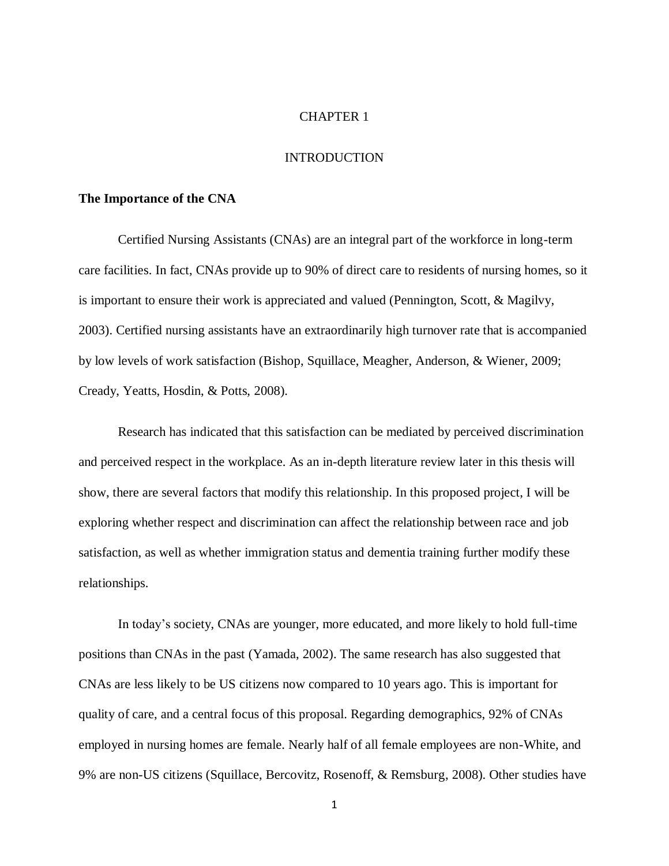#### CHAPTER 1

#### INTRODUCTION

#### **The Importance of the CNA**

Certified Nursing Assistants (CNAs) are an integral part of the workforce in long-term care facilities. In fact, CNAs provide up to 90% of direct care to residents of nursing homes, so it is important to ensure their work is appreciated and valued (Pennington, Scott, & Magilvy, 2003). Certified nursing assistants have an extraordinarily high turnover rate that is accompanied by low levels of work satisfaction (Bishop, Squillace, Meagher, Anderson, & Wiener, 2009; Cready, Yeatts, Hosdin, & Potts, 2008).

Research has indicated that this satisfaction can be mediated by perceived discrimination and perceived respect in the workplace. As an in-depth literature review later in this thesis will show, there are several factors that modify this relationship. In this proposed project, I will be exploring whether respect and discrimination can affect the relationship between race and job satisfaction, as well as whether immigration status and dementia training further modify these relationships.

In today's society, CNAs are younger, more educated, and more likely to hold full-time positions than CNAs in the past (Yamada, 2002). The same research has also suggested that CNAs are less likely to be US citizens now compared to 10 years ago. This is important for quality of care, and a central focus of this proposal. Regarding demographics, 92% of CNAs employed in nursing homes are female. Nearly half of all female employees are non-White, and 9% are non-US citizens (Squillace, Bercovitz, Rosenoff, & Remsburg, 2008). Other studies have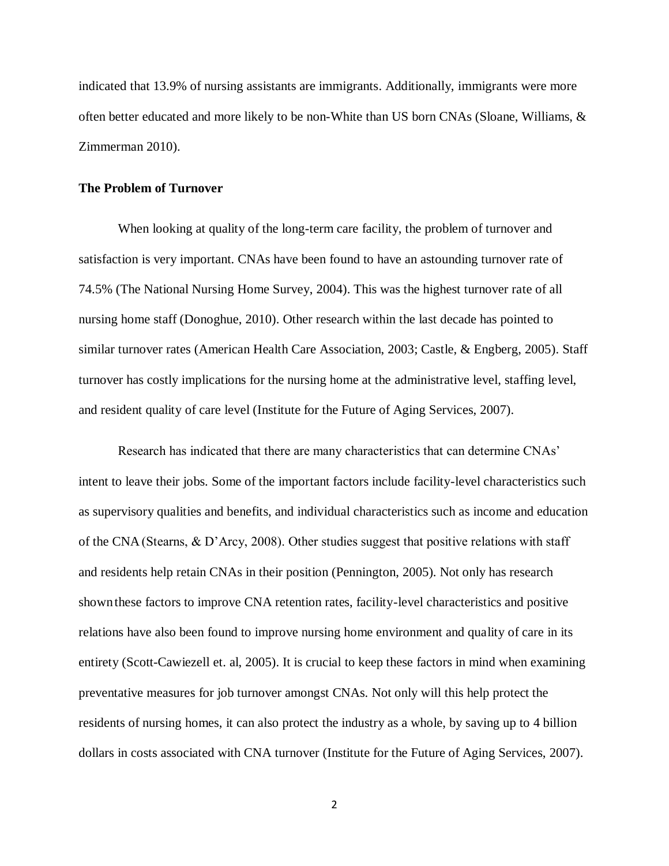indicated that 13.9% of nursing assistants are immigrants. Additionally, immigrants were more often better educated and more likely to be non-White than US born CNAs (Sloane, Williams, & Zimmerman 2010).

#### **The Problem of Turnover**

When looking at quality of the long-term care facility, the problem of turnover and satisfaction is very important. CNAs have been found to have an astounding turnover rate of 74.5% (The National Nursing Home Survey, 2004). This was the highest turnover rate of all nursing home staff (Donoghue, 2010). Other research within the last decade has pointed to similar turnover rates (American Health Care Association, 2003; Castle, & Engberg, 2005). Staff turnover has costly implications for the nursing home at the administrative level, staffing level, and resident quality of care level (Institute for the Future of Aging Services, 2007).

Research has indicated that there are many characteristics that can determine CNAs' intent to leave their jobs. Some of the important factors include facility-level characteristics such as supervisory qualities and benefits, and individual characteristics such as income and education of the CNA(Stearns, & D'Arcy, 2008). Other studies suggest that positive relations with staff and residents help retain CNAs in their position (Pennington, 2005). Not only has research shownthese factors to improve CNA retention rates, facility-level characteristics and positive relations have also been found to improve nursing home environment and quality of care in its entirety (Scott-Cawiezell et. al, 2005). It is crucial to keep these factors in mind when examining preventative measures for job turnover amongst CNAs. Not only will this help protect the residents of nursing homes, it can also protect the industry as a whole, by saving up to 4 billion dollars in costs associated with CNA turnover (Institute for the Future of Aging Services, 2007).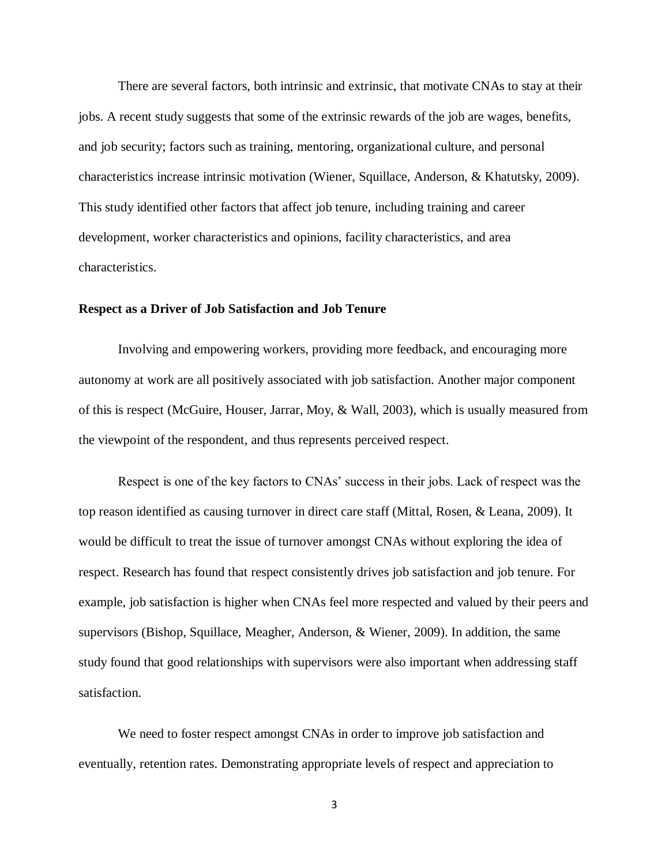There are several factors, both intrinsic and extrinsic, that motivate CNAs to stay at their jobs. A recent study suggests that some of the extrinsic rewards of the job are wages, benefits, and job security; factors such as training, mentoring, organizational culture, and personal characteristics increase intrinsic motivation (Wiener, Squillace, Anderson, & Khatutsky, 2009). This study identified other factors that affect job tenure, including training and career development, worker characteristics and opinions, facility characteristics, and area characteristics.

#### **Respect as a Driver of Job Satisfaction and Job Tenure**

Involving and empowering workers, providing more feedback, and encouraging more autonomy at work are all positively associated with job satisfaction. Another major component of this is respect (McGuire, Houser, Jarrar, Moy, & Wall, 2003), which is usually measured from the viewpoint of the respondent, and thus represents perceived respect.

Respect is one of the key factors to CNAs' success in their jobs. Lack of respect was the top reason identified as causing turnover in direct care staff (Mittal, Rosen, & Leana, 2009). It would be difficult to treat the issue of turnover amongst CNAs without exploring the idea of respect. Research has found that respect consistently drives job satisfaction and job tenure. For example, job satisfaction is higher when CNAs feel more respected and valued by their peers and supervisors (Bishop, Squillace, Meagher, Anderson, & Wiener, 2009). In addition, the same study found that good relationships with supervisors were also important when addressing staff satisfaction.

We need to foster respect amongst CNAs in order to improve job satisfaction and eventually, retention rates. Demonstrating appropriate levels of respect and appreciation to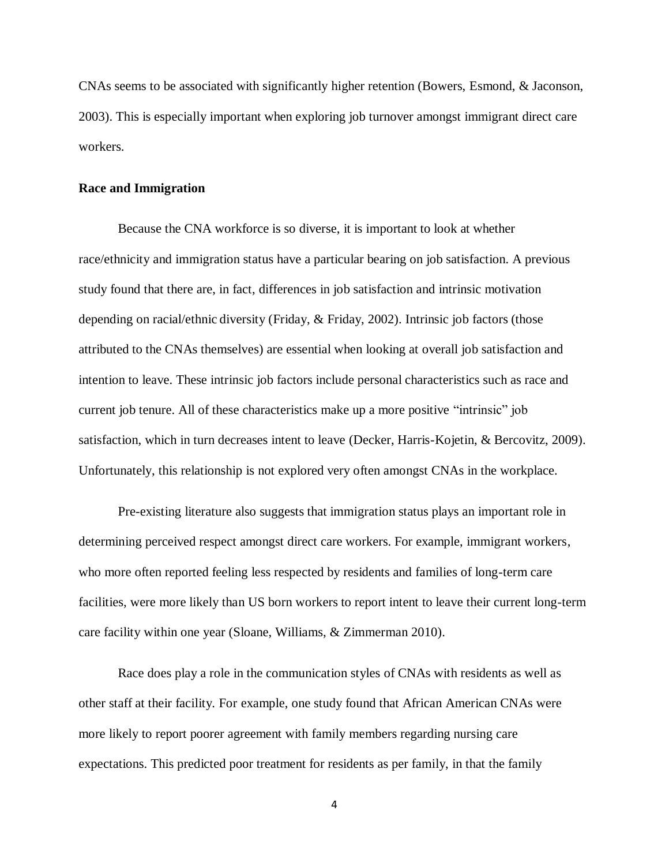CNAs seems to be associated with significantly higher retention (Bowers, Esmond, & Jaconson, 2003). This is especially important when exploring job turnover amongst immigrant direct care workers.

#### **Race and Immigration**

Because the CNA workforce is so diverse, it is important to look at whether race/ethnicity and immigration status have a particular bearing on job satisfaction. A previous study found that there are, in fact, differences in job satisfaction and intrinsic motivation depending on racial/ethnic diversity (Friday, & Friday, 2002). Intrinsic job factors (those attributed to the CNAs themselves) are essential when looking at overall job satisfaction and intention to leave. These intrinsic job factors include personal characteristics such as race and current job tenure. All of these characteristics make up a more positive "intrinsic" job satisfaction, which in turn decreases intent to leave (Decker, Harris-Kojetin, & Bercovitz, 2009). Unfortunately, this relationship is not explored very often amongst CNAs in the workplace.

Pre-existing literature also suggests that immigration status plays an important role in determining perceived respect amongst direct care workers. For example, immigrant workers, who more often reported feeling less respected by residents and families of long-term care facilities, were more likely than US born workers to report intent to leave their current long-term care facility within one year (Sloane, Williams, & Zimmerman 2010).

Race does play a role in the communication styles of CNAs with residents as well as other staff at their facility. For example, one study found that African American CNAs were more likely to report poorer agreement with family members regarding nursing care expectations. This predicted poor treatment for residents as per family, in that the family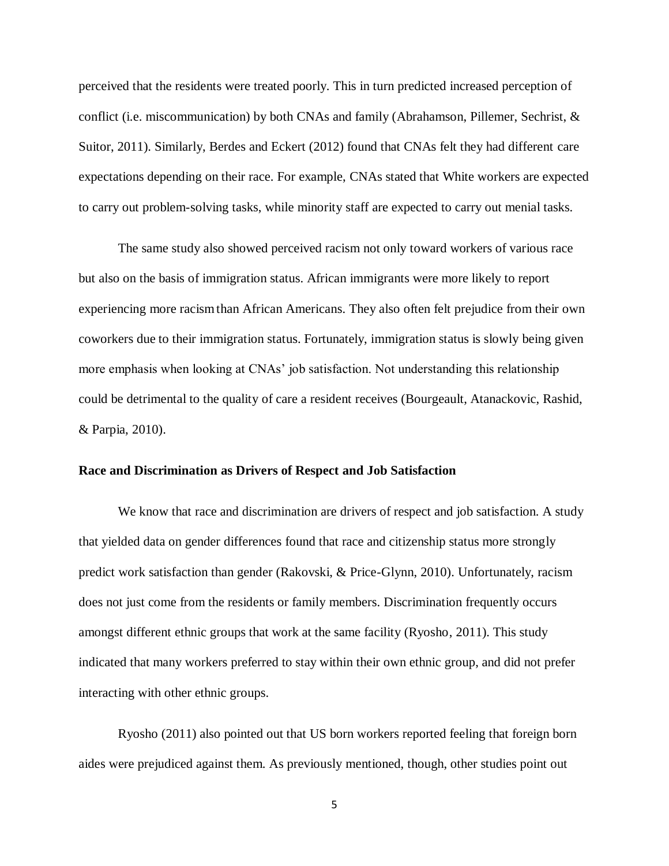perceived that the residents were treated poorly. This in turn predicted increased perception of conflict (i.e. miscommunication) by both CNAs and family (Abrahamson, Pillemer, Sechrist, & Suitor, 2011). Similarly, Berdes and Eckert (2012) found that CNAs felt they had different care expectations depending on their race. For example, CNAs stated that White workers are expected to carry out problem-solving tasks, while minority staff are expected to carry out menial tasks.

The same study also showed perceived racism not only toward workers of various race but also on the basis of immigration status. African immigrants were more likely to report experiencing more racismthan African Americans. They also often felt prejudice from their own coworkers due to their immigration status. Fortunately, immigration status is slowly being given more emphasis when looking at CNAs' job satisfaction. Not understanding this relationship could be detrimental to the quality of care a resident receives (Bourgeault, Atanackovic, Rashid, & Parpia, 2010).

#### **Race and Discrimination as Drivers of Respect and Job Satisfaction**

We know that race and discrimination are drivers of respect and job satisfaction. A study that yielded data on gender differences found that race and citizenship status more strongly predict work satisfaction than gender (Rakovski, & Price-Glynn, 2010). Unfortunately, racism does not just come from the residents or family members. Discrimination frequently occurs amongst different ethnic groups that work at the same facility (Ryosho, 2011). This study indicated that many workers preferred to stay within their own ethnic group, and did not prefer interacting with other ethnic groups.

Ryosho (2011) also pointed out that US born workers reported feeling that foreign born aides were prejudiced against them. As previously mentioned, though, other studies point out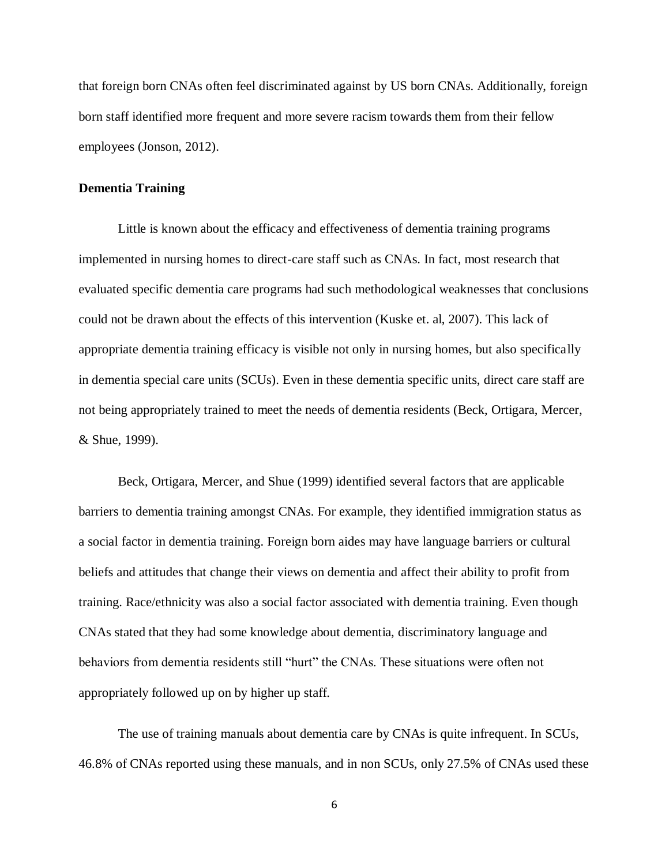that foreign born CNAs often feel discriminated against by US born CNAs. Additionally, foreign born staff identified more frequent and more severe racism towards them from their fellow employees (Jonson, 2012).

#### **Dementia Training**

Little is known about the efficacy and effectiveness of dementia training programs implemented in nursing homes to direct-care staff such as CNAs. In fact, most research that evaluated specific dementia care programs had such methodological weaknesses that conclusions could not be drawn about the effects of this intervention (Kuske et. al, 2007). This lack of appropriate dementia training efficacy is visible not only in nursing homes, but also specifically in dementia special care units (SCUs). Even in these dementia specific units, direct care staff are not being appropriately trained to meet the needs of dementia residents (Beck, Ortigara, Mercer, & Shue, 1999).

Beck, Ortigara, Mercer, and Shue (1999) identified several factors that are applicable barriers to dementia training amongst CNAs. For example, they identified immigration status as a social factor in dementia training. Foreign born aides may have language barriers or cultural beliefs and attitudes that change their views on dementia and affect their ability to profit from training. Race/ethnicity was also a social factor associated with dementia training. Even though CNAs stated that they had some knowledge about dementia, discriminatory language and behaviors from dementia residents still "hurt" the CNAs. These situations were often not appropriately followed up on by higher up staff.

The use of training manuals about dementia care by CNAs is quite infrequent. In SCUs, 46.8% of CNAs reported using these manuals, and in non SCUs, only 27.5% of CNAs used these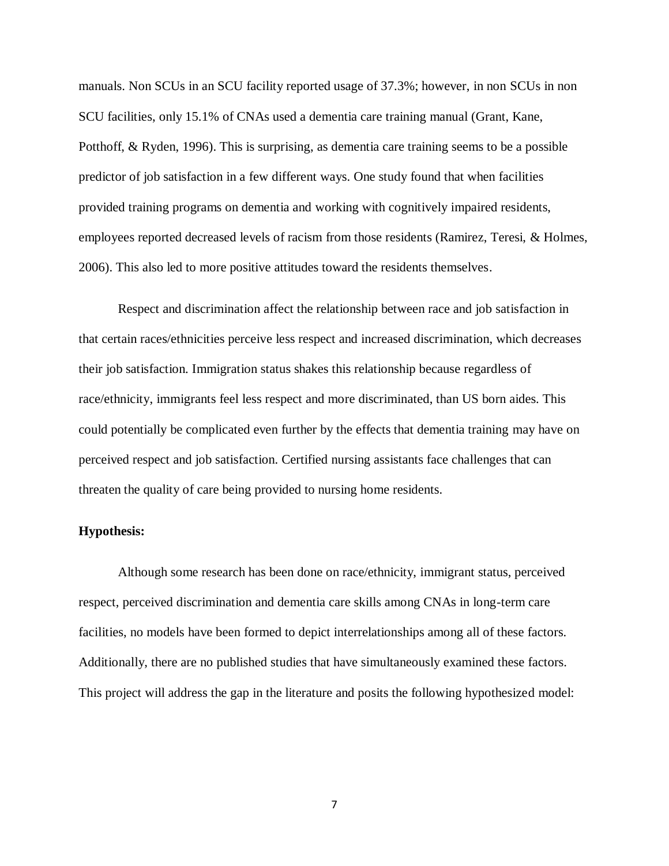manuals. Non SCUs in an SCU facility reported usage of 37.3%; however, in non SCUs in non SCU facilities, only 15.1% of CNAs used a dementia care training manual (Grant, Kane, Potthoff, & Ryden, 1996). This is surprising, as dementia care training seems to be a possible predictor of job satisfaction in a few different ways. One study found that when facilities provided training programs on dementia and working with cognitively impaired residents, employees reported decreased levels of racism from those residents (Ramirez, Teresi, & Holmes, 2006). This also led to more positive attitudes toward the residents themselves.

Respect and discrimination affect the relationship between race and job satisfaction in that certain races/ethnicities perceive less respect and increased discrimination, which decreases their job satisfaction. Immigration status shakes this relationship because regardless of race/ethnicity, immigrants feel less respect and more discriminated, than US born aides. This could potentially be complicated even further by the effects that dementia training may have on perceived respect and job satisfaction. Certified nursing assistants face challenges that can threaten the quality of care being provided to nursing home residents.

### **Hypothesis:**

Although some research has been done on race/ethnicity, immigrant status, perceived respect, perceived discrimination and dementia care skills among CNAs in long-term care facilities, no models have been formed to depict interrelationships among all of these factors. Additionally, there are no published studies that have simultaneously examined these factors. This project will address the gap in the literature and posits the following hypothesized model: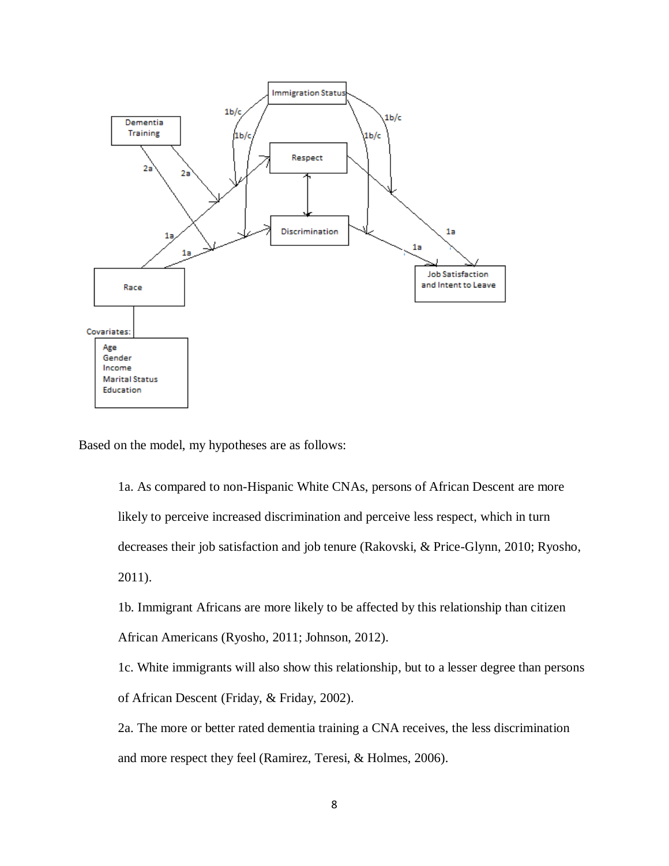

Based on the model, my hypotheses are as follows:

1a. As compared to non-Hispanic White CNAs, persons of African Descent are more likely to perceive increased discrimination and perceive less respect, which in turn decreases their job satisfaction and job tenure (Rakovski, & Price-Glynn, 2010; Ryosho, 2011).

1b. Immigrant Africans are more likely to be affected by this relationship than citizen African Americans (Ryosho, 2011; Johnson, 2012).

1c. White immigrants will also show this relationship, but to a lesser degree than persons of African Descent (Friday, & Friday, 2002).

2a. The more or better rated dementia training a CNA receives, the less discrimination and more respect they feel (Ramirez, Teresi, & Holmes, 2006).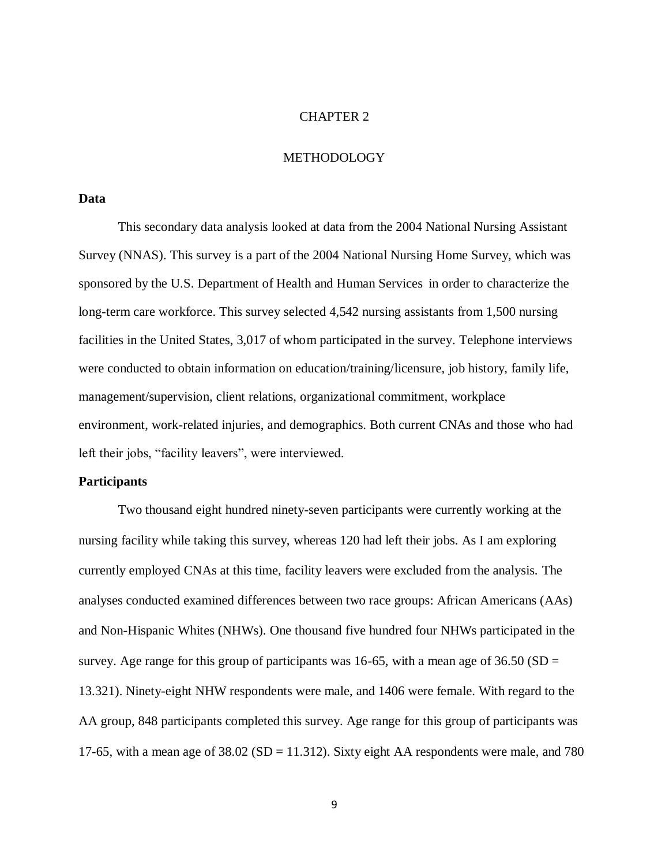#### CHAPTER 2

### METHODOLOGY

### **Data**

This secondary data analysis looked at data from the 2004 National Nursing Assistant Survey (NNAS). This survey is a part of the 2004 National Nursing Home Survey, which was sponsored by the U.S. Department of Health and Human Services in order to characterize the long-term care workforce. This survey selected 4,542 nursing assistants from 1,500 nursing facilities in the United States, 3,017 of whom participated in the survey. Telephone interviews were conducted to obtain information on education/training/licensure, job history, family life, management/supervision, client relations, organizational commitment, workplace environment, work-related injuries, and demographics. Both current CNAs and those who had left their jobs, "facility leavers", were interviewed.

#### **Participants**

Two thousand eight hundred ninety-seven participants were currently working at the nursing facility while taking this survey, whereas 120 had left their jobs. As I am exploring currently employed CNAs at this time, facility leavers were excluded from the analysis. The analyses conducted examined differences between two race groups: African Americans (AAs) and Non-Hispanic Whites (NHWs). One thousand five hundred four NHWs participated in the survey. Age range for this group of participants was 16-65, with a mean age of  $36.50$  (SD = 13.321). Ninety-eight NHW respondents were male, and 1406 were female. With regard to the AA group, 848 participants completed this survey. Age range for this group of participants was 17-65, with a mean age of  $38.02$  (SD = 11.312). Sixty eight AA respondents were male, and 780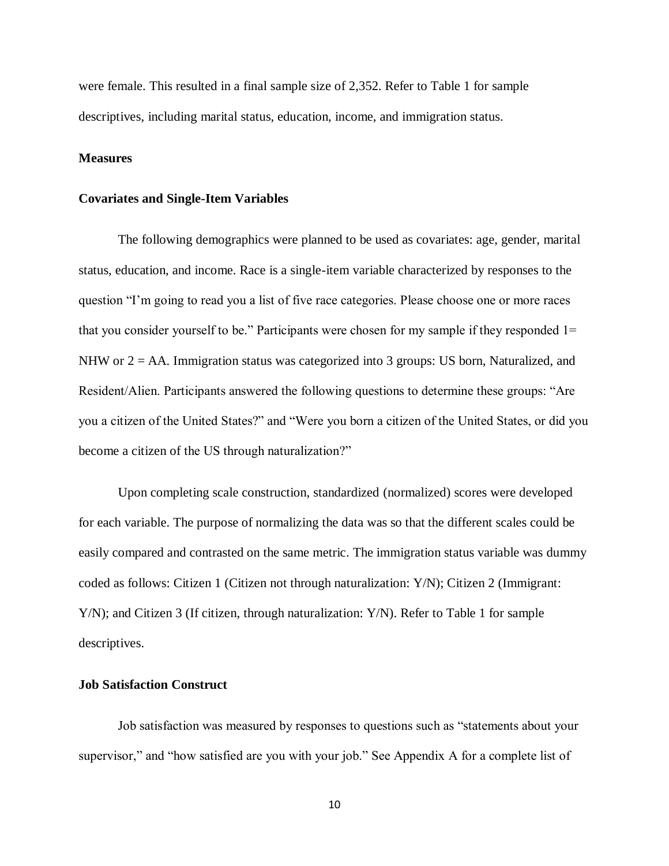were female. This resulted in a final sample size of 2,352. Refer to Table 1 for sample descriptives, including marital status, education, income, and immigration status.

#### **Measures**

#### **Covariates and Single-Item Variables**

The following demographics were planned to be used as covariates: age, gender, marital status, education, and income. Race is a single-item variable characterized by responses to the question "I'm going to read you a list of five race categories. Please choose one or more races that you consider yourself to be." Participants were chosen for my sample if they responded 1= NHW or  $2 = AA$ . Immigration status was categorized into 3 groups: US born, Naturalized, and Resident/Alien. Participants answered the following questions to determine these groups: "Are you a citizen of the United States?" and "Were you born a citizen of the United States, or did you become a citizen of the US through naturalization?"

Upon completing scale construction, standardized (normalized) scores were developed for each variable. The purpose of normalizing the data was so that the different scales could be easily compared and contrasted on the same metric. The immigration status variable was dummy coded as follows: Citizen 1 (Citizen not through naturalization: Y/N); Citizen 2 (Immigrant: Y/N); and Citizen 3 (If citizen, through naturalization: Y/N). Refer to Table 1 for sample descriptives.

#### **Job Satisfaction Construct**

Job satisfaction was measured by responses to questions such as "statements about your supervisor," and "how satisfied are you with your job." See Appendix A for a complete list of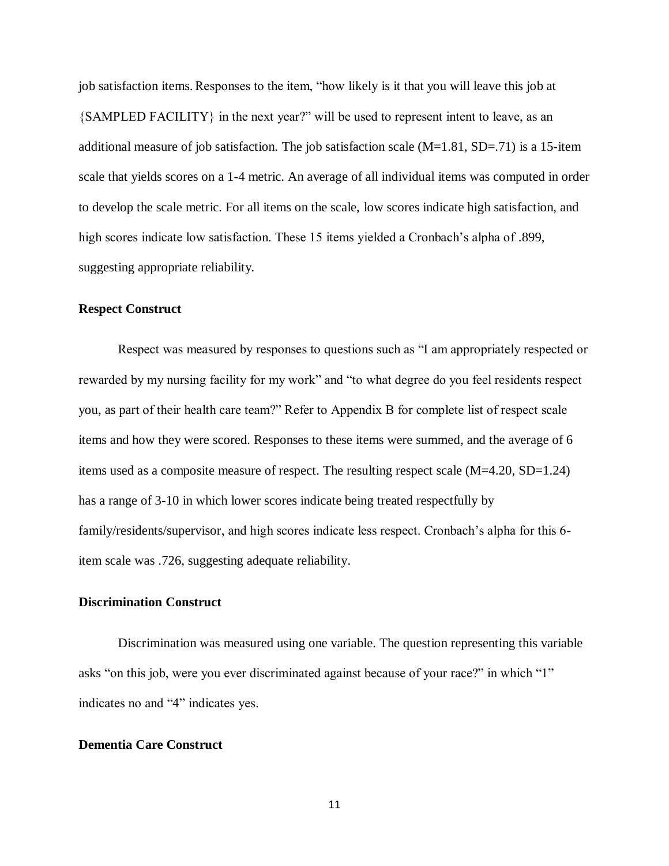job satisfaction items.Responses to the item, "how likely is it that you will leave this job at {SAMPLED FACILITY} in the next year?" will be used to represent intent to leave, as an additional measure of job satisfaction. The job satisfaction scale  $(M=1.81, SD=.71)$  is a 15-item scale that yields scores on a 1-4 metric. An average of all individual items was computed in order to develop the scale metric. For all items on the scale, low scores indicate high satisfaction, and high scores indicate low satisfaction. These 15 items yielded a Cronbach's alpha of .899, suggesting appropriate reliability.

### **Respect Construct**

Respect was measured by responses to questions such as "I am appropriately respected or rewarded by my nursing facility for my work" and "to what degree do you feel residents respect you, as part of their health care team?" Refer to Appendix B for complete list of respect scale items and how they were scored. Responses to these items were summed, and the average of 6 items used as a composite measure of respect. The resulting respect scale (M=4.20, SD=1.24) has a range of 3-10 in which lower scores indicate being treated respectfully by family/residents/supervisor, and high scores indicate less respect. Cronbach's alpha for this 6 item scale was .726, suggesting adequate reliability.

### **Discrimination Construct**

Discrimination was measured using one variable. The question representing this variable asks "on this job, were you ever discriminated against because of your race?" in which "1" indicates no and "4" indicates yes.

### **Dementia Care Construct**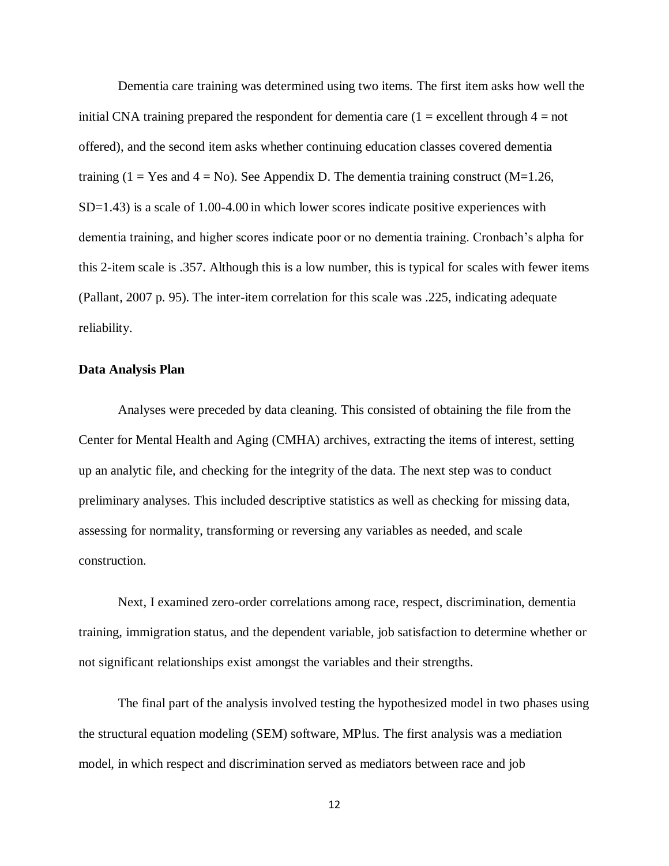Dementia care training was determined using two items. The first item asks how well the initial CNA training prepared the respondent for dementia care  $(1 = \text{excellent through } 4 = \text{not}$ offered), and the second item asks whether continuing education classes covered dementia training (1 = Yes and 4 = No). See Appendix D. The dementia training construct ( $M=1.26$ ,  $SD=1.43$ ) is a scale of 1.00-4.00 in which lower scores indicate positive experiences with dementia training, and higher scores indicate poor or no dementia training. Cronbach's alpha for this 2-item scale is .357. Although this is a low number, this is typical for scales with fewer items (Pallant, 2007 p. 95). The inter-item correlation for this scale was .225, indicating adequate reliability.

#### **Data Analysis Plan**

Analyses were preceded by data cleaning. This consisted of obtaining the file from the Center for Mental Health and Aging (CMHA) archives, extracting the items of interest, setting up an analytic file, and checking for the integrity of the data. The next step was to conduct preliminary analyses. This included descriptive statistics as well as checking for missing data, assessing for normality, transforming or reversing any variables as needed, and scale construction.

Next, I examined zero-order correlations among race, respect, discrimination, dementia training, immigration status, and the dependent variable, job satisfaction to determine whether or not significant relationships exist amongst the variables and their strengths.

The final part of the analysis involved testing the hypothesized model in two phases using the structural equation modeling (SEM) software, MPlus. The first analysis was a mediation model, in which respect and discrimination served as mediators between race and job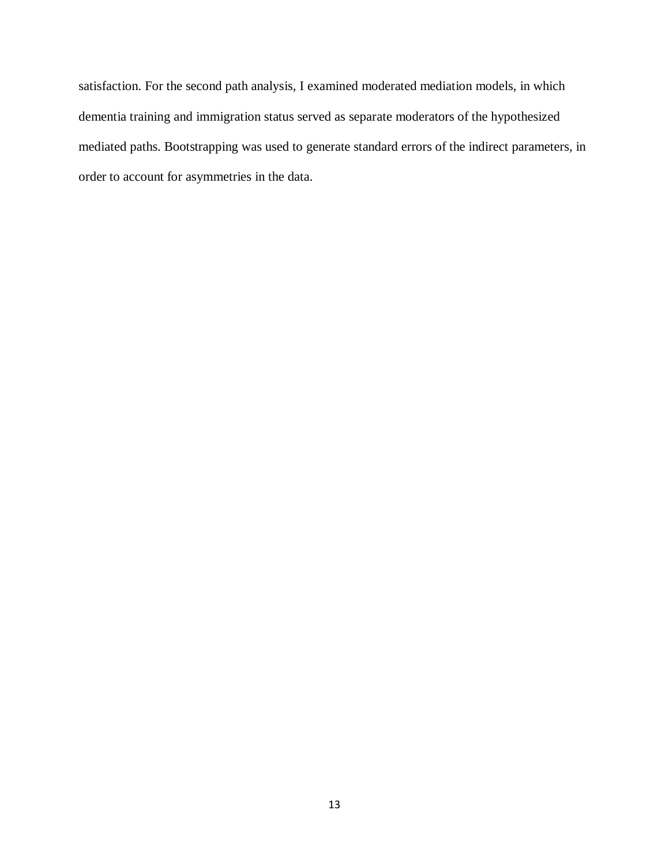satisfaction. For the second path analysis, I examined moderated mediation models, in which dementia training and immigration status served as separate moderators of the hypothesized mediated paths. Bootstrapping was used to generate standard errors of the indirect parameters, in order to account for asymmetries in the data.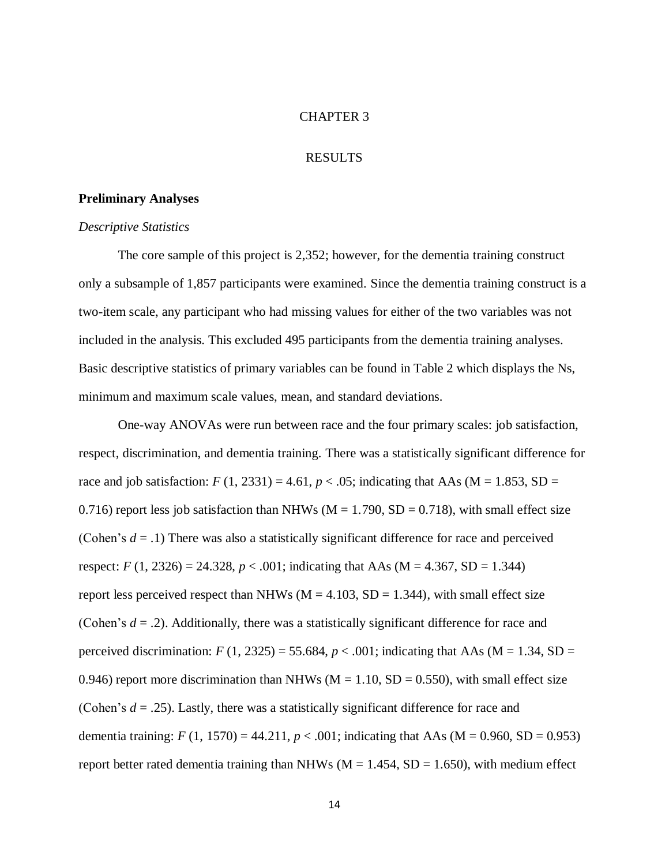#### CHAPTER 3

#### RESULTS

#### **Preliminary Analyses**

#### *Descriptive Statistics*

The core sample of this project is 2,352; however, for the dementia training construct only a subsample of 1,857 participants were examined. Since the dementia training construct is a two-item scale, any participant who had missing values for either of the two variables was not included in the analysis. This excluded 495 participants from the dementia training analyses. Basic descriptive statistics of primary variables can be found in Table 2 which displays the Ns, minimum and maximum scale values, mean, and standard deviations.

One-way ANOVAs were run between race and the four primary scales: job satisfaction, respect, discrimination, and dementia training. There was a statistically significant difference for race and job satisfaction:  $F(1, 2331) = 4.61$ ,  $p < .05$ ; indicating that AAs (M = 1.853, SD = 0.716) report less job satisfaction than NHWs ( $M = 1.790$ ,  $SD = 0.718$ ), with small effect size (Cohen's  $d = .1$ ) There was also a statistically significant difference for race and perceived respect: *F* (1, 2326) = 24.328, *p* < .001; indicating that AAs (M = 4.367, SD = 1.344) report less perceived respect than NHWs ( $M = 4.103$ ,  $SD = 1.344$ ), with small effect size (Cohen's  $d = .2$ ). Additionally, there was a statistically significant difference for race and perceived discrimination:  $F(1, 2325) = 55.684$ ,  $p < .001$ ; indicating that AAs (M = 1.34, SD = 0.946) report more discrimination than NHWs ( $M = 1.10$ , SD = 0.550), with small effect size (Cohen's  $d = .25$ ). Lastly, there was a statistically significant difference for race and dementia training:  $F(1, 1570) = 44.211$ ,  $p < .001$ ; indicating that AAs (M = 0.960, SD = 0.953) report better rated dementia training than NHWs ( $M = 1.454$ ,  $SD = 1.650$ ), with medium effect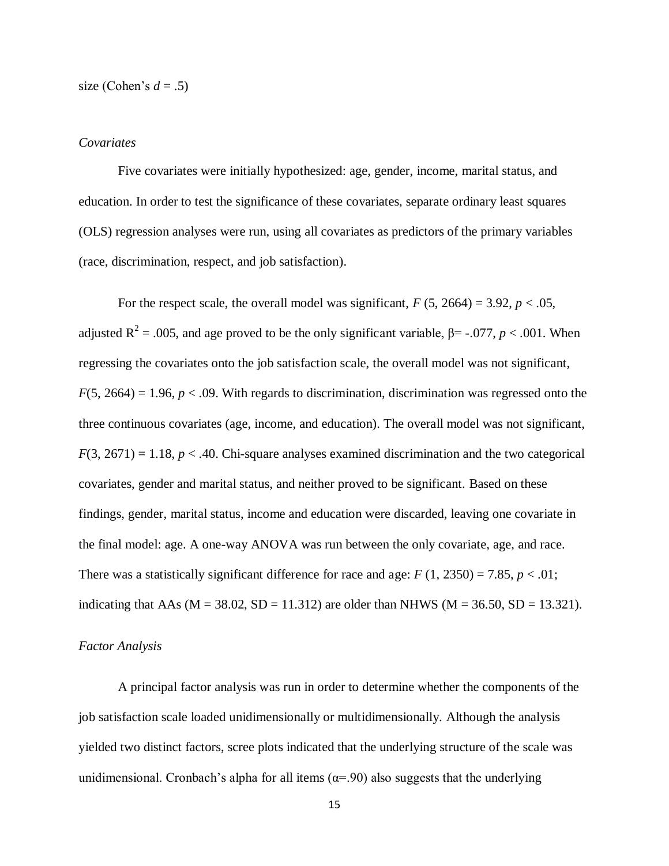size (Cohen's  $d = .5$ )

#### *Covariates*

Five covariates were initially hypothesized: age, gender, income, marital status, and education. In order to test the significance of these covariates, separate ordinary least squares (OLS) regression analyses were run, using all covariates as predictors of the primary variables (race, discrimination, respect, and job satisfaction).

For the respect scale, the overall model was significant,  $F(5, 2664) = 3.92$ ,  $p < .05$ , adjusted  $R^2 = .005$ , and age proved to be the only significant variable,  $\beta$ = -.077, *p* < .001. When regressing the covariates onto the job satisfaction scale, the overall model was not significant,  $F(5, 2664) = 1.96$ ,  $p < .09$ . With regards to discrimination, discrimination was regressed onto the three continuous covariates (age, income, and education). The overall model was not significant,  $F(3, 2671) = 1.18$ ,  $p < .40$ . Chi-square analyses examined discrimination and the two categorical covariates, gender and marital status, and neither proved to be significant. Based on these findings, gender, marital status, income and education were discarded, leaving one covariate in the final model: age. A one-way ANOVA was run between the only covariate, age, and race. There was a statistically significant difference for race and age:  $F(1, 2350) = 7.85$ ,  $p < .01$ ; indicating that AAs ( $M = 38.02$ ,  $SD = 11.312$ ) are older than NHWS ( $M = 36.50$ ,  $SD = 13.321$ ).

#### *Factor Analysis*

A principal factor analysis was run in order to determine whether the components of the job satisfaction scale loaded unidimensionally or multidimensionally. Although the analysis yielded two distinct factors, scree plots indicated that the underlying structure of the scale was unidimensional. Cronbach's alpha for all items ( $\alpha$ =.90) also suggests that the underlying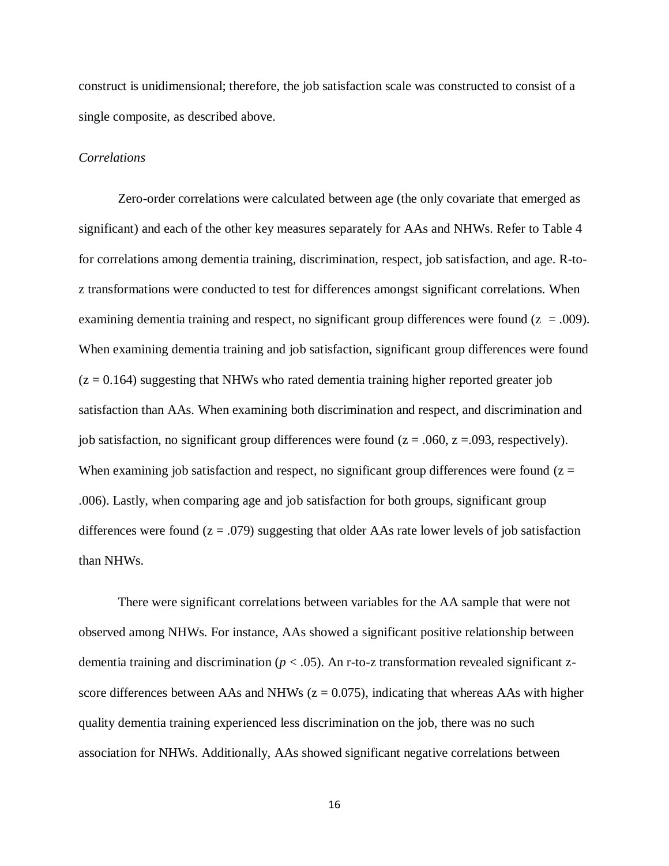construct is unidimensional; therefore, the job satisfaction scale was constructed to consist of a single composite, as described above.

#### *Correlations*

Zero-order correlations were calculated between age (the only covariate that emerged as significant) and each of the other key measures separately for AAs and NHWs. Refer to Table 4 for correlations among dementia training, discrimination, respect, job satisfaction, and age. R-toz transformations were conducted to test for differences amongst significant correlations. When examining dementia training and respect, no significant group differences were found  $(z = .009)$ . When examining dementia training and job satisfaction, significant group differences were found  $(z = 0.164)$  suggesting that NHWs who rated dementia training higher reported greater job satisfaction than AAs. When examining both discrimination and respect, and discrimination and job satisfaction, no significant group differences were found  $(z = .060, z = .093$ , respectively). When examining job satisfaction and respect, no significant group differences were found ( $z =$ .006). Lastly, when comparing age and job satisfaction for both groups, significant group differences were found  $(z = .079)$  suggesting that older AAs rate lower levels of job satisfaction than NHWs.

There were significant correlations between variables for the AA sample that were not observed among NHWs. For instance, AAs showed a significant positive relationship between dementia training and discrimination ( $p < .05$ ). An r-to-z transformation revealed significant zscore differences between AAs and NHWs  $(z = 0.075)$ , indicating that whereas AAs with higher quality dementia training experienced less discrimination on the job, there was no such association for NHWs. Additionally, AAs showed significant negative correlations between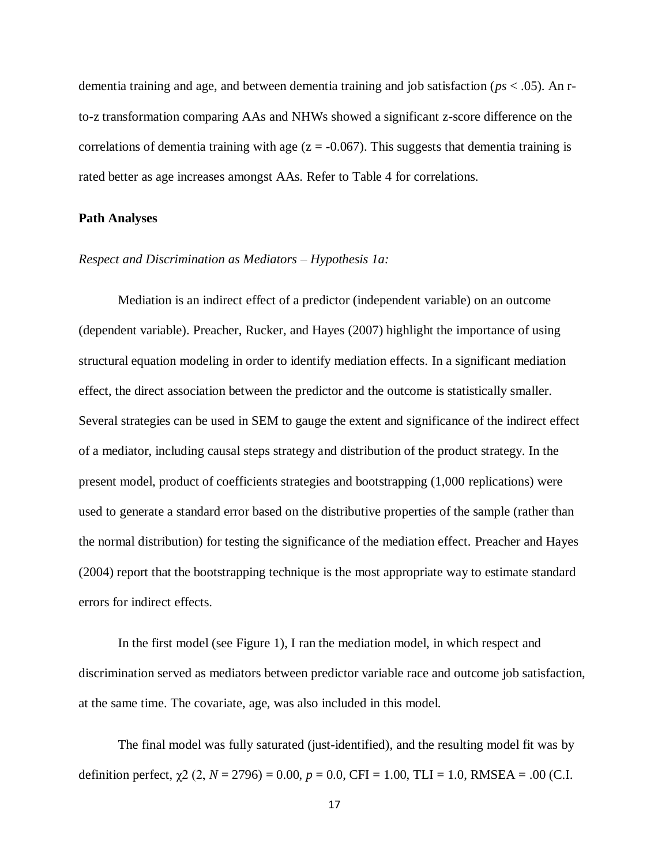dementia training and age, and between dementia training and job satisfaction (*ps* < .05). An rto-z transformation comparing AAs and NHWs showed a significant z-score difference on the correlations of dementia training with age  $(z = -0.067)$ . This suggests that dementia training is rated better as age increases amongst AAs. Refer to Table 4 for correlations.

#### **Path Analyses**

#### *Respect and Discrimination as Mediators – Hypothesis 1a:*

Mediation is an indirect effect of a predictor (independent variable) on an outcome (dependent variable). Preacher, Rucker, and Hayes (2007) highlight the importance of using structural equation modeling in order to identify mediation effects. In a significant mediation effect, the direct association between the predictor and the outcome is statistically smaller. Several strategies can be used in SEM to gauge the extent and significance of the indirect effect of a mediator, including causal steps strategy and distribution of the product strategy. In the present model, product of coefficients strategies and bootstrapping (1,000 replications) were used to generate a standard error based on the distributive properties of the sample (rather than the normal distribution) for testing the significance of the mediation effect. Preacher and Hayes (2004) report that the bootstrapping technique is the most appropriate way to estimate standard errors for indirect effects.

In the first model (see Figure 1), I ran the mediation model, in which respect and discrimination served as mediators between predictor variable race and outcome job satisfaction, at the same time. The covariate, age, was also included in this model.

The final model was fully saturated (just-identified), and the resulting model fit was by definition perfect,  $\chi$ 2 (2, *N* = 2796) = 0.00, *p* = 0.0, CFI = 1.00, TLI = 1.0, RMSEA = .00 (C.I.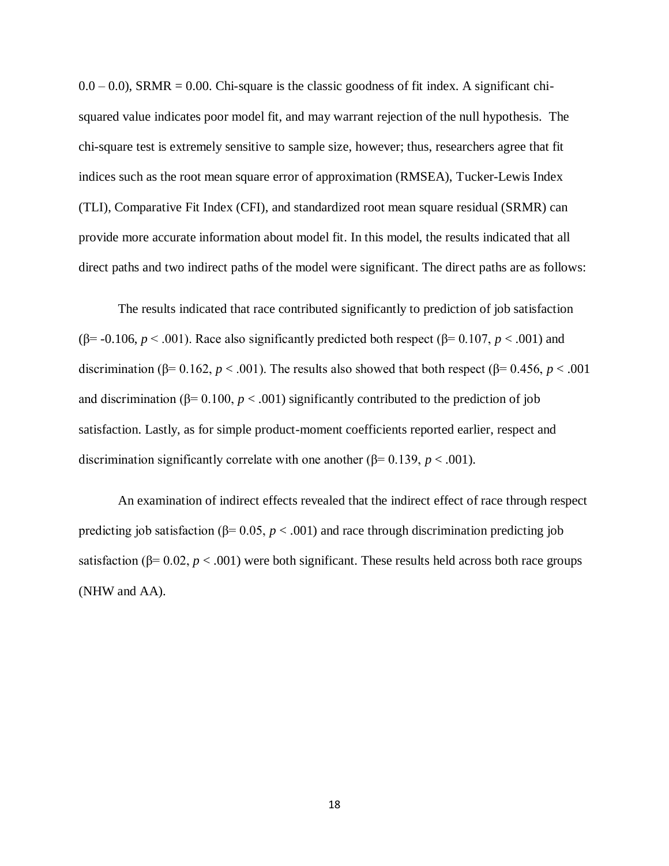$(0.0 - 0.0)$ , SRMR = 0.00. Chi-square is the classic goodness of fit index. A significant chisquared value indicates poor model fit, and may warrant rejection of the null hypothesis. The chi-square test is extremely sensitive to sample size, however; thus, researchers agree that fit indices such as the root mean square error of approximation (RMSEA), Tucker-Lewis Index (TLI), Comparative Fit Index (CFI), and standardized root mean square residual (SRMR) can provide more accurate information about model fit. In this model, the results indicated that all direct paths and two indirect paths of the model were significant. The direct paths are as follows:

The results indicated that race contributed significantly to prediction of job satisfaction ( $\beta$ = -0.106, *p* < .001). Race also significantly predicted both respect ( $\beta$ = 0.107, *p* < .001) and discrimination ( $\beta$ = 0.162, *p* < .001). The results also showed that both respect ( $\beta$ = 0.456, *p* < .001 and discrimination ( $\beta$ = 0.100,  $p$  < .001) significantly contributed to the prediction of job satisfaction. Lastly, as for simple product-moment coefficients reported earlier, respect and discrimination significantly correlate with one another ( $\beta$ = 0.139, *p* < .001).

An examination of indirect effects revealed that the indirect effect of race through respect predicting job satisfaction ( $\beta$ = 0.05, *p* < .001) and race through discrimination predicting job satisfaction ( $\beta$ = 0.02, *p* < .001) were both significant. These results held across both race groups (NHW and AA).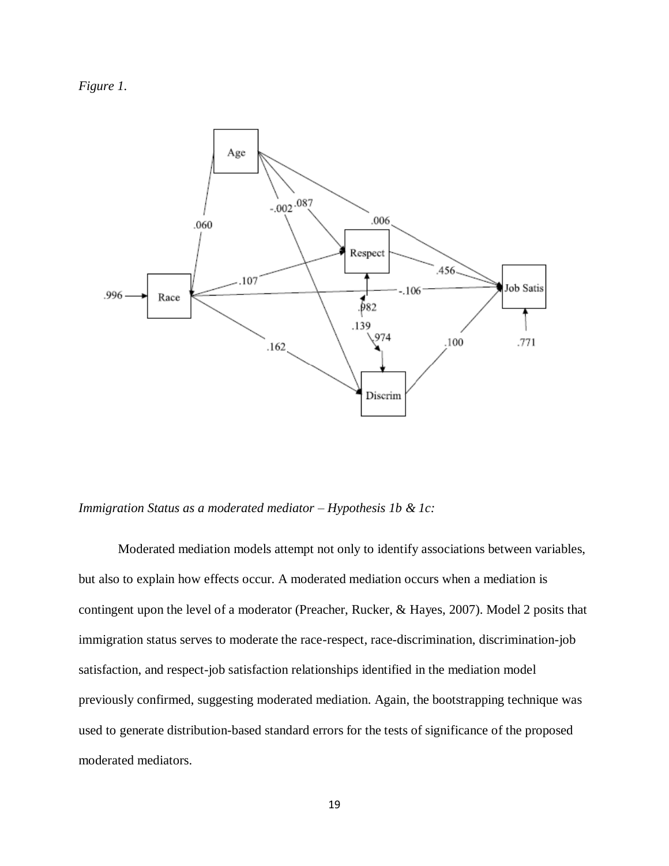*Figure 1.*



*Immigration Status as a moderated mediator – Hypothesis 1b & 1c:*

Moderated mediation models attempt not only to identify associations between variables, but also to explain how effects occur. A moderated mediation occurs when a mediation is contingent upon the level of a moderator (Preacher, Rucker, & Hayes, 2007). Model 2 posits that immigration status serves to moderate the race-respect, race-discrimination, discrimination-job satisfaction, and respect-job satisfaction relationships identified in the mediation model previously confirmed, suggesting moderated mediation. Again, the bootstrapping technique was used to generate distribution-based standard errors for the tests of significance of the proposed moderated mediators.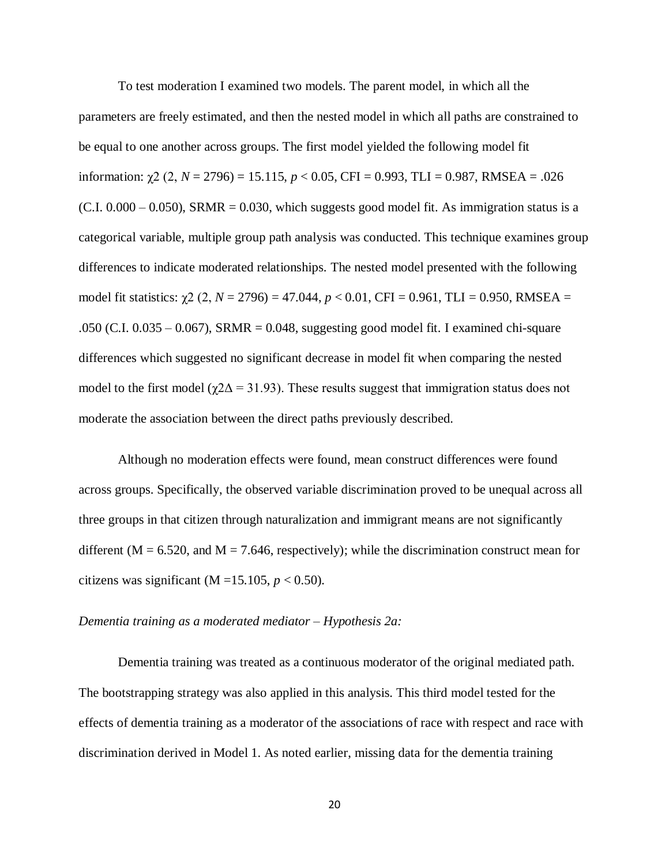To test moderation I examined two models. The parent model, in which all the parameters are freely estimated, and then the nested model in which all paths are constrained to be equal to one another across groups. The first model yielded the following model fit information:  $\gamma$ 2 (2, *N* = 2796) = 15.115, *p* < 0.05, CFI = 0.993, TLI = 0.987, RMSEA = .026  $(C.I. 0.000 - 0.050)$ , SRMR = 0.030, which suggests good model fit. As immigration status is a categorical variable, multiple group path analysis was conducted. This technique examines group differences to indicate moderated relationships. The nested model presented with the following model fit statistics:  $χ$ 2 (2, *N* = 2796) = 47.044, *p* < 0.01, CFI = 0.961, TLI = 0.950, RMSEA = .050 (C.I. 0.035 – 0.067), SRMR = 0.048, suggesting good model fit. I examined chi-square differences which suggested no significant decrease in model fit when comparing the nested model to the first model ( $\gamma$ 2 $\Delta$  = 31.93). These results suggest that immigration status does not moderate the association between the direct paths previously described.

Although no moderation effects were found, mean construct differences were found across groups. Specifically, the observed variable discrimination proved to be unequal across all three groups in that citizen through naturalization and immigrant means are not significantly different ( $M = 6.520$ , and  $M = 7.646$ , respectively); while the discrimination construct mean for citizens was significant (M =15.105,  $p < 0.50$ ).

#### *Dementia training as a moderated mediator – Hypothesis 2a:*

Dementia training was treated as a continuous moderator of the original mediated path. The bootstrapping strategy was also applied in this analysis. This third model tested for the effects of dementia training as a moderator of the associations of race with respect and race with discrimination derived in Model 1. As noted earlier, missing data for the dementia training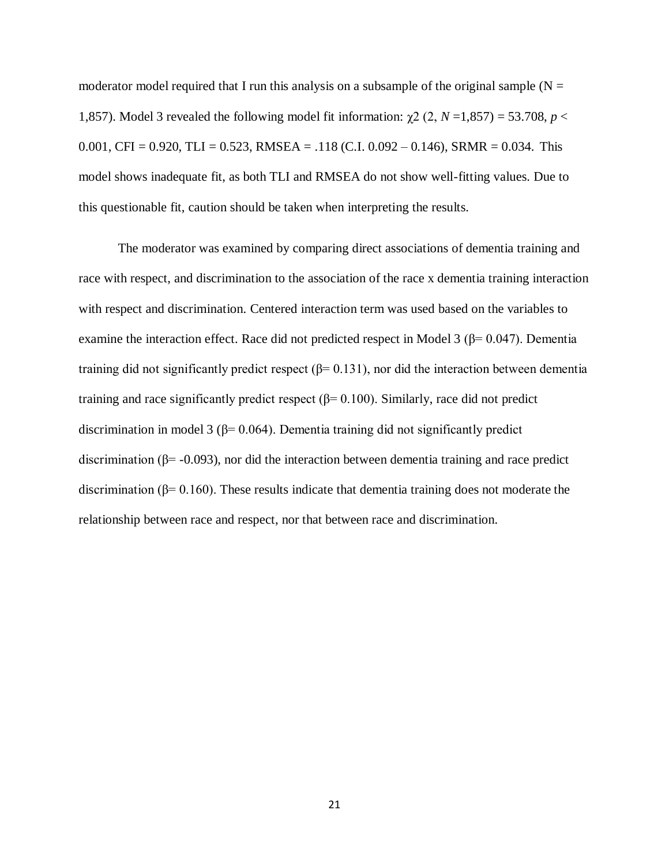moderator model required that I run this analysis on a subsample of the original sample  $(N =$ 1,857). Model 3 revealed the following model fit information:  $χ$ 2 (2, *N* = 1,857) = 53.708, *p* < 0.001, CFI = 0.920, TLI = 0.523, RMSEA = .118 (C.I. 0.092 – 0.146), SRMR = 0.034. This model shows inadequate fit, as both TLI and RMSEA do not show well-fitting values. Due to this questionable fit, caution should be taken when interpreting the results.

The moderator was examined by comparing direct associations of dementia training and race with respect, and discrimination to the association of the race x dementia training interaction with respect and discrimination. Centered interaction term was used based on the variables to examine the interaction effect. Race did not predicted respect in Model 3 ( $\beta$ = 0.047). Dementia training did not significantly predict respect ( $β= 0.131$ ), nor did the interaction between dementia training and race significantly predict respect ( $β= 0.100$ ). Similarly, race did not predict discrimination in model 3 ( $\beta$ = 0.064). Dementia training did not significantly predict discrimination (β= -0.093), nor did the interaction between dementia training and race predict discrimination ( $\beta$ = 0.160). These results indicate that dementia training does not moderate the relationship between race and respect, nor that between race and discrimination.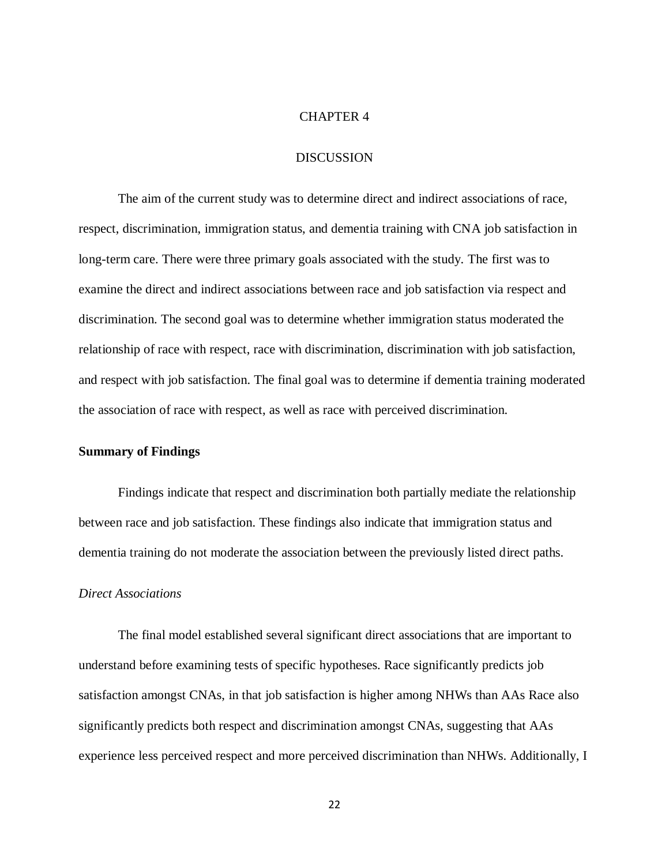#### CHAPTER 4

#### DISCUSSION

The aim of the current study was to determine direct and indirect associations of race, respect, discrimination, immigration status, and dementia training with CNA job satisfaction in long-term care. There were three primary goals associated with the study. The first was to examine the direct and indirect associations between race and job satisfaction via respect and discrimination. The second goal was to determine whether immigration status moderated the relationship of race with respect, race with discrimination, discrimination with job satisfaction, and respect with job satisfaction. The final goal was to determine if dementia training moderated the association of race with respect, as well as race with perceived discrimination.

#### **Summary of Findings**

Findings indicate that respect and discrimination both partially mediate the relationship between race and job satisfaction. These findings also indicate that immigration status and dementia training do not moderate the association between the previously listed direct paths.

#### *Direct Associations*

The final model established several significant direct associations that are important to understand before examining tests of specific hypotheses. Race significantly predicts job satisfaction amongst CNAs, in that job satisfaction is higher among NHWs than AAs Race also significantly predicts both respect and discrimination amongst CNAs, suggesting that AAs experience less perceived respect and more perceived discrimination than NHWs. Additionally, I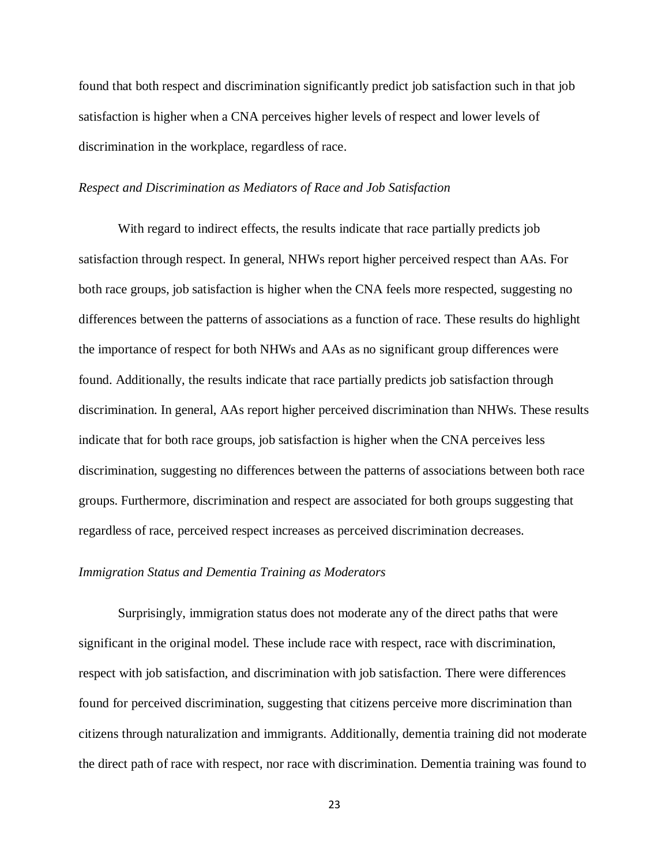found that both respect and discrimination significantly predict job satisfaction such in that job satisfaction is higher when a CNA perceives higher levels of respect and lower levels of discrimination in the workplace, regardless of race.

#### *Respect and Discrimination as Mediators of Race and Job Satisfaction*

With regard to indirect effects, the results indicate that race partially predicts job satisfaction through respect. In general, NHWs report higher perceived respect than AAs. For both race groups, job satisfaction is higher when the CNA feels more respected, suggesting no differences between the patterns of associations as a function of race. These results do highlight the importance of respect for both NHWs and AAs as no significant group differences were found. Additionally, the results indicate that race partially predicts job satisfaction through discrimination. In general, AAs report higher perceived discrimination than NHWs. These results indicate that for both race groups, job satisfaction is higher when the CNA perceives less discrimination, suggesting no differences between the patterns of associations between both race groups. Furthermore, discrimination and respect are associated for both groups suggesting that regardless of race, perceived respect increases as perceived discrimination decreases.

#### *Immigration Status and Dementia Training as Moderators*

Surprisingly, immigration status does not moderate any of the direct paths that were significant in the original model. These include race with respect, race with discrimination, respect with job satisfaction, and discrimination with job satisfaction. There were differences found for perceived discrimination, suggesting that citizens perceive more discrimination than citizens through naturalization and immigrants. Additionally, dementia training did not moderate the direct path of race with respect, nor race with discrimination. Dementia training was found to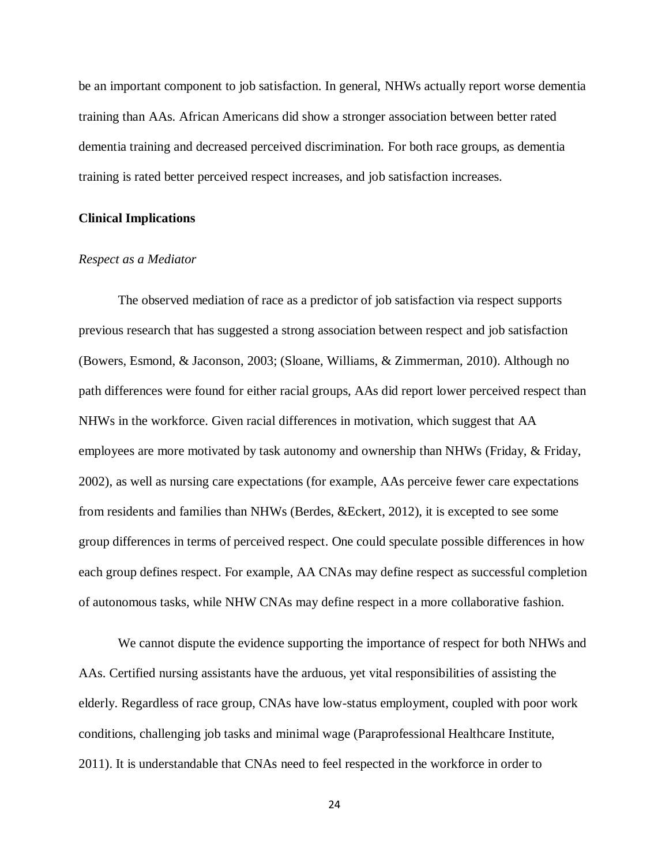be an important component to job satisfaction. In general, NHWs actually report worse dementia training than AAs. African Americans did show a stronger association between better rated dementia training and decreased perceived discrimination. For both race groups, as dementia training is rated better perceived respect increases, and job satisfaction increases.

#### **Clinical Implications**

#### *Respect as a Mediator*

The observed mediation of race as a predictor of job satisfaction via respect supports previous research that has suggested a strong association between respect and job satisfaction (Bowers, Esmond, & Jaconson, 2003; (Sloane, Williams, & Zimmerman, 2010). Although no path differences were found for either racial groups, AAs did report lower perceived respect than NHWs in the workforce. Given racial differences in motivation, which suggest that AA employees are more motivated by task autonomy and ownership than NHWs (Friday, & Friday, 2002), as well as nursing care expectations (for example, AAs perceive fewer care expectations from residents and families than NHWs (Berdes, &Eckert, 2012), it is excepted to see some group differences in terms of perceived respect. One could speculate possible differences in how each group defines respect. For example, AA CNAs may define respect as successful completion of autonomous tasks, while NHW CNAs may define respect in a more collaborative fashion.

We cannot dispute the evidence supporting the importance of respect for both NHWs and AAs. Certified nursing assistants have the arduous, yet vital responsibilities of assisting the elderly. Regardless of race group, CNAs have low-status employment, coupled with poor work conditions, challenging job tasks and minimal wage (Paraprofessional Healthcare Institute, 2011). It is understandable that CNAs need to feel respected in the workforce in order to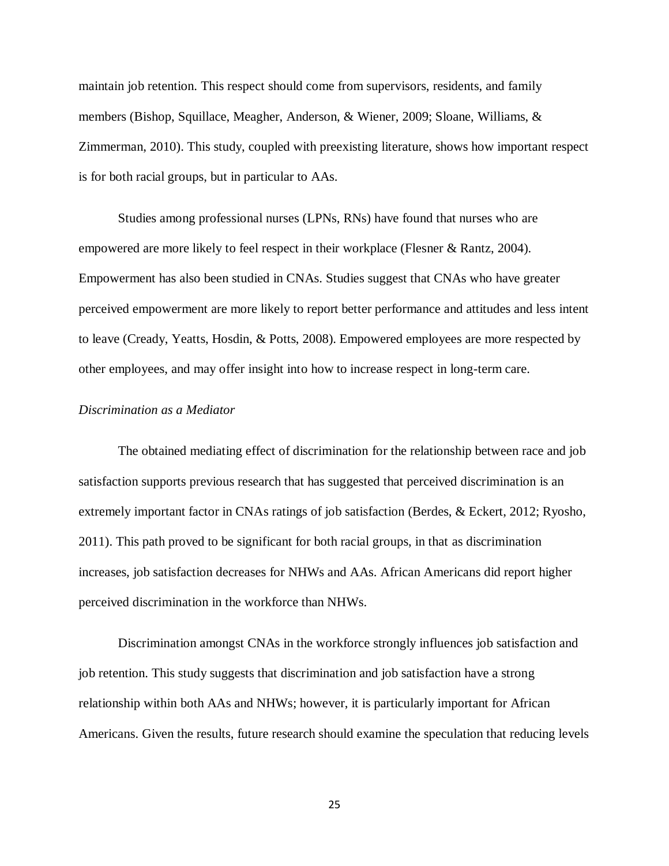maintain job retention. This respect should come from supervisors, residents, and family members (Bishop, Squillace, Meagher, Anderson, & Wiener, 2009; Sloane, Williams, & Zimmerman, 2010). This study, coupled with preexisting literature, shows how important respect is for both racial groups, but in particular to AAs.

Studies among professional nurses (LPNs, RNs) have found that nurses who are empowered are more likely to feel respect in their workplace (Flesner & Rantz, 2004). Empowerment has also been studied in CNAs. Studies suggest that CNAs who have greater perceived empowerment are more likely to report better performance and attitudes and less intent to leave (Cready, Yeatts, Hosdin, & Potts, 2008). Empowered employees are more respected by other employees, and may offer insight into how to increase respect in long-term care.

#### *Discrimination as a Mediator*

The obtained mediating effect of discrimination for the relationship between race and job satisfaction supports previous research that has suggested that perceived discrimination is an extremely important factor in CNAs ratings of job satisfaction (Berdes, & Eckert, 2012; Ryosho, 2011). This path proved to be significant for both racial groups, in that as discrimination increases, job satisfaction decreases for NHWs and AAs. African Americans did report higher perceived discrimination in the workforce than NHWs.

Discrimination amongst CNAs in the workforce strongly influences job satisfaction and job retention. This study suggests that discrimination and job satisfaction have a strong relationship within both AAs and NHWs; however, it is particularly important for African Americans. Given the results, future research should examine the speculation that reducing levels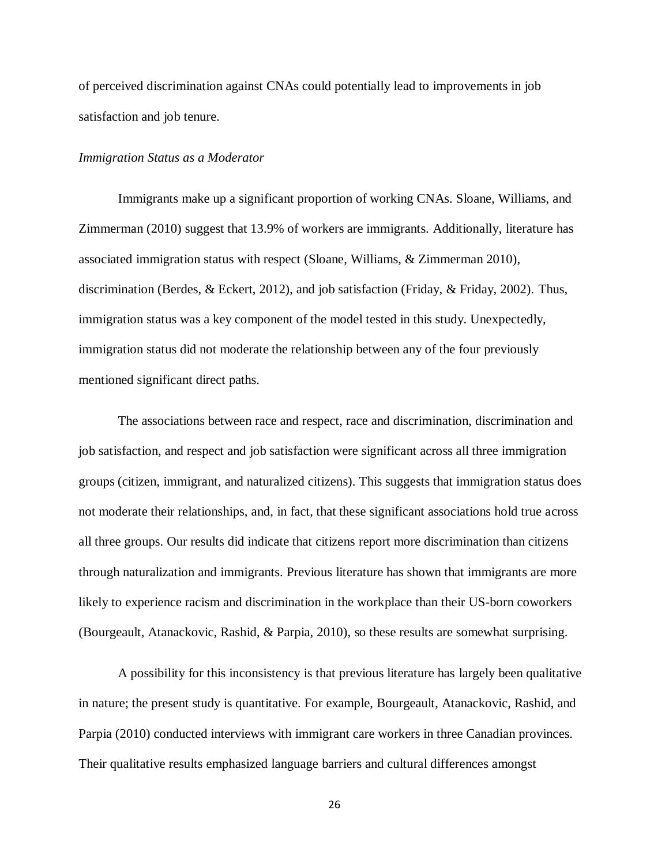of perceived discrimination against CNAs could potentially lead to improvements in job satisfaction and job tenure.

#### *Immigration Status as a Moderator*

Immigrants make up a significant proportion of working CNAs. Sloane, Williams, and Zimmerman (2010) suggest that 13.9% of workers are immigrants. Additionally, literature has associated immigration status with respect (Sloane, Williams, & Zimmerman 2010), discrimination (Berdes, & Eckert, 2012), and job satisfaction (Friday, & Friday, 2002). Thus, immigration status was a key component of the model tested in this study. Unexpectedly, immigration status did not moderate the relationship between any of the four previously mentioned significant direct paths.

The associations between race and respect, race and discrimination, discrimination and job satisfaction, and respect and job satisfaction were significant across all three immigration groups (citizen, immigrant, and naturalized citizens). This suggests that immigration status does not moderate their relationships, and, in fact, that these significant associations hold true across all three groups. Our results did indicate that citizens report more discrimination than citizens through naturalization and immigrants. Previous literature has shown that immigrants are more likely to experience racism and discrimination in the workplace than their US-born coworkers (Bourgeault, Atanackovic, Rashid, & Parpia, 2010), so these results are somewhat surprising.

A possibility for this inconsistency is that previous literature has largely been qualitative in nature; the present study is quantitative. For example, Bourgeault, Atanackovic, Rashid, and Parpia (2010) conducted interviews with immigrant care workers in three Canadian provinces. Their qualitative results emphasized language barriers and cultural differences amongst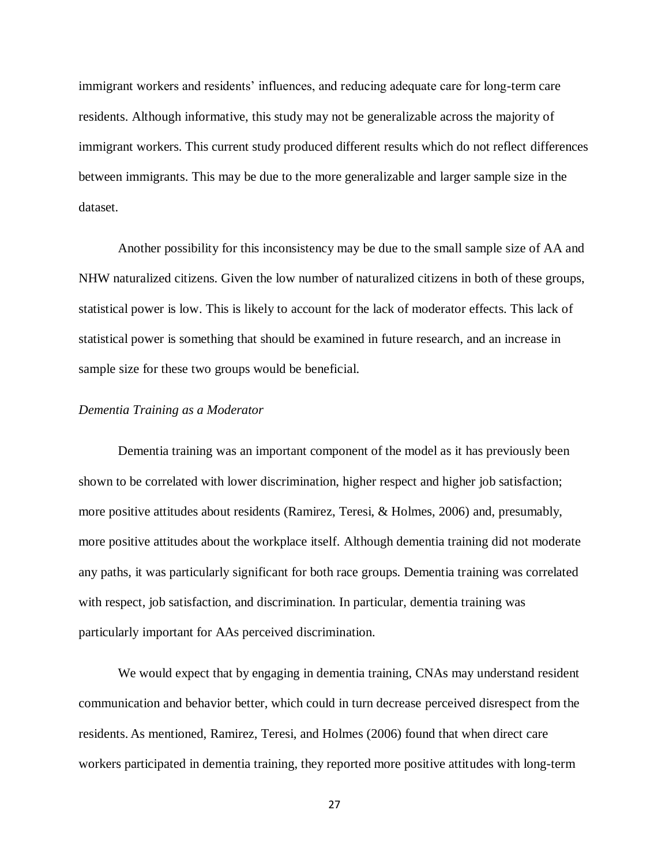immigrant workers and residents' influences, and reducing adequate care for long-term care residents. Although informative, this study may not be generalizable across the majority of immigrant workers. This current study produced different results which do not reflect differences between immigrants. This may be due to the more generalizable and larger sample size in the dataset.

Another possibility for this inconsistency may be due to the small sample size of AA and NHW naturalized citizens. Given the low number of naturalized citizens in both of these groups, statistical power is low. This is likely to account for the lack of moderator effects. This lack of statistical power is something that should be examined in future research, and an increase in sample size for these two groups would be beneficial.

#### *Dementia Training as a Moderator*

Dementia training was an important component of the model as it has previously been shown to be correlated with lower discrimination, higher respect and higher job satisfaction; more positive attitudes about residents (Ramirez, Teresi, & Holmes, 2006) and, presumably, more positive attitudes about the workplace itself. Although dementia training did not moderate any paths, it was particularly significant for both race groups. Dementia training was correlated with respect, job satisfaction, and discrimination. In particular, dementia training was particularly important for AAs perceived discrimination.

We would expect that by engaging in dementia training, CNAs may understand resident communication and behavior better, which could in turn decrease perceived disrespect from the residents. As mentioned, Ramirez, Teresi, and Holmes (2006) found that when direct care workers participated in dementia training, they reported more positive attitudes with long-term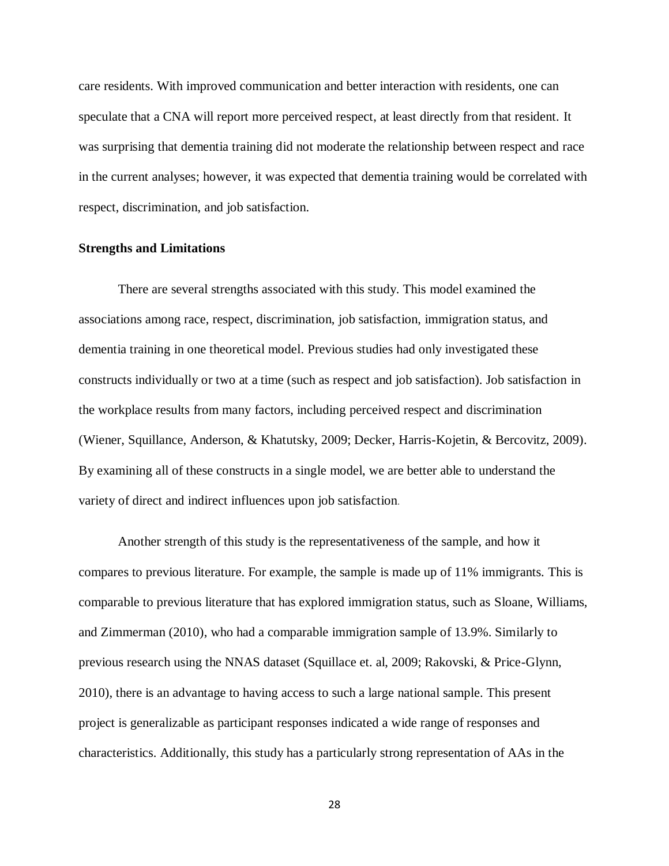care residents. With improved communication and better interaction with residents, one can speculate that a CNA will report more perceived respect, at least directly from that resident. It was surprising that dementia training did not moderate the relationship between respect and race in the current analyses; however, it was expected that dementia training would be correlated with respect, discrimination, and job satisfaction.

#### **Strengths and Limitations**

There are several strengths associated with this study. This model examined the associations among race, respect, discrimination, job satisfaction, immigration status, and dementia training in one theoretical model. Previous studies had only investigated these constructs individually or two at a time (such as respect and job satisfaction). Job satisfaction in the workplace results from many factors, including perceived respect and discrimination (Wiener, Squillance, Anderson, & Khatutsky, 2009; Decker, Harris-Kojetin, & Bercovitz, 2009). By examining all of these constructs in a single model, we are better able to understand the variety of direct and indirect influences upon job satisfaction.

Another strength of this study is the representativeness of the sample, and how it compares to previous literature. For example, the sample is made up of 11% immigrants. This is comparable to previous literature that has explored immigration status, such as Sloane, Williams, and Zimmerman (2010), who had a comparable immigration sample of 13.9%. Similarly to previous research using the NNAS dataset (Squillace et. al, 2009; Rakovski, & Price-Glynn, 2010), there is an advantage to having access to such a large national sample. This present project is generalizable as participant responses indicated a wide range of responses and characteristics. Additionally, this study has a particularly strong representation of AAs in the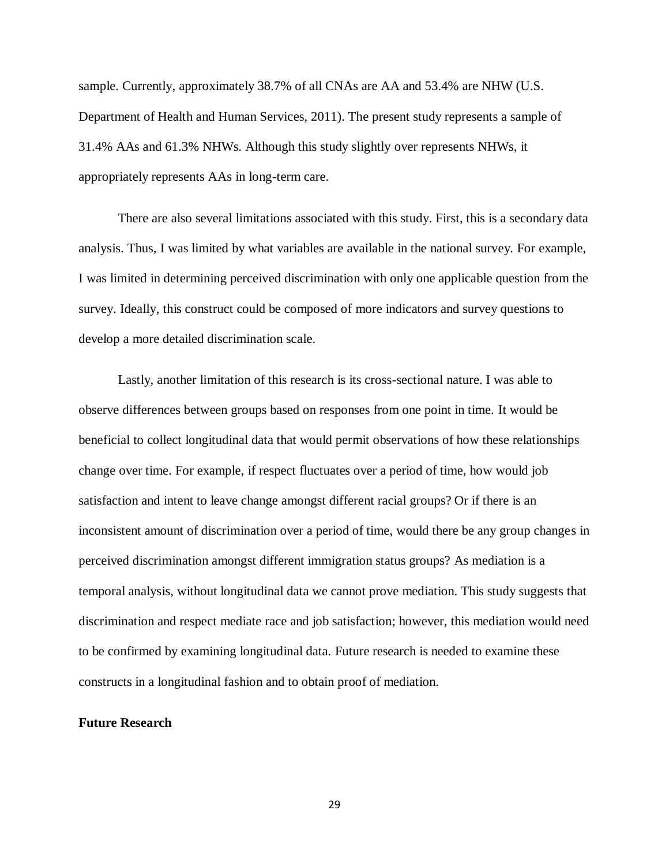sample. Currently, approximately 38.7% of all CNAs are AA and 53.4% are NHW (U.S. Department of Health and Human Services, 2011). The present study represents a sample of 31.4% AAs and 61.3% NHWs. Although this study slightly over represents NHWs, it appropriately represents AAs in long-term care.

There are also several limitations associated with this study. First, this is a secondary data analysis. Thus, I was limited by what variables are available in the national survey. For example, I was limited in determining perceived discrimination with only one applicable question from the survey. Ideally, this construct could be composed of more indicators and survey questions to develop a more detailed discrimination scale.

Lastly, another limitation of this research is its cross-sectional nature. I was able to observe differences between groups based on responses from one point in time. It would be beneficial to collect longitudinal data that would permit observations of how these relationships change over time. For example, if respect fluctuates over a period of time, how would job satisfaction and intent to leave change amongst different racial groups? Or if there is an inconsistent amount of discrimination over a period of time, would there be any group changes in perceived discrimination amongst different immigration status groups? As mediation is a temporal analysis, without longitudinal data we cannot prove mediation. This study suggests that discrimination and respect mediate race and job satisfaction; however, this mediation would need to be confirmed by examining longitudinal data. Future research is needed to examine these constructs in a longitudinal fashion and to obtain proof of mediation.

#### **Future Research**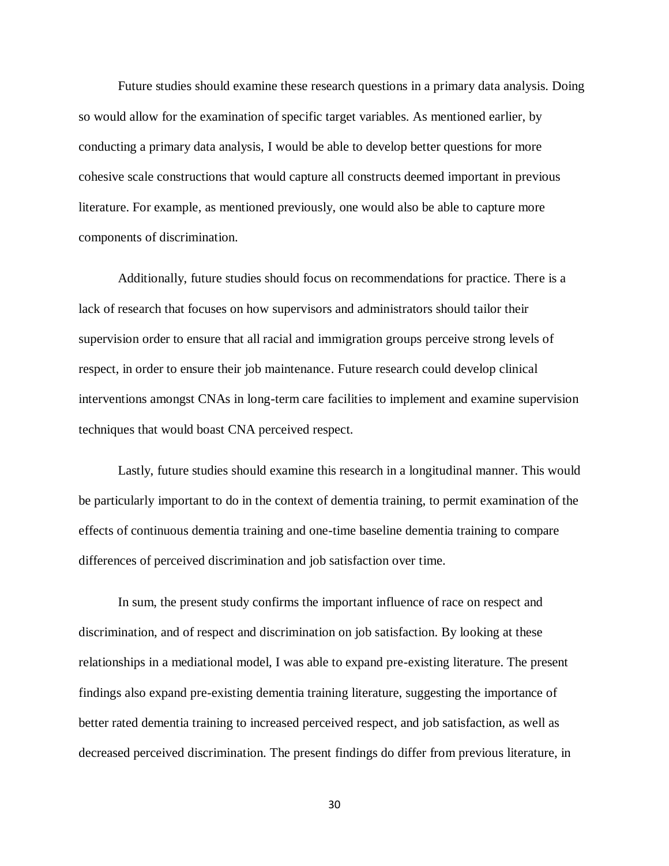Future studies should examine these research questions in a primary data analysis. Doing so would allow for the examination of specific target variables. As mentioned earlier, by conducting a primary data analysis, I would be able to develop better questions for more cohesive scale constructions that would capture all constructs deemed important in previous literature. For example, as mentioned previously, one would also be able to capture more components of discrimination.

Additionally, future studies should focus on recommendations for practice. There is a lack of research that focuses on how supervisors and administrators should tailor their supervision order to ensure that all racial and immigration groups perceive strong levels of respect, in order to ensure their job maintenance. Future research could develop clinical interventions amongst CNAs in long-term care facilities to implement and examine supervision techniques that would boast CNA perceived respect.

Lastly, future studies should examine this research in a longitudinal manner. This would be particularly important to do in the context of dementia training, to permit examination of the effects of continuous dementia training and one-time baseline dementia training to compare differences of perceived discrimination and job satisfaction over time.

In sum, the present study confirms the important influence of race on respect and discrimination, and of respect and discrimination on job satisfaction. By looking at these relationships in a mediational model, I was able to expand pre-existing literature. The present findings also expand pre-existing dementia training literature, suggesting the importance of better rated dementia training to increased perceived respect, and job satisfaction, as well as decreased perceived discrimination. The present findings do differ from previous literature, in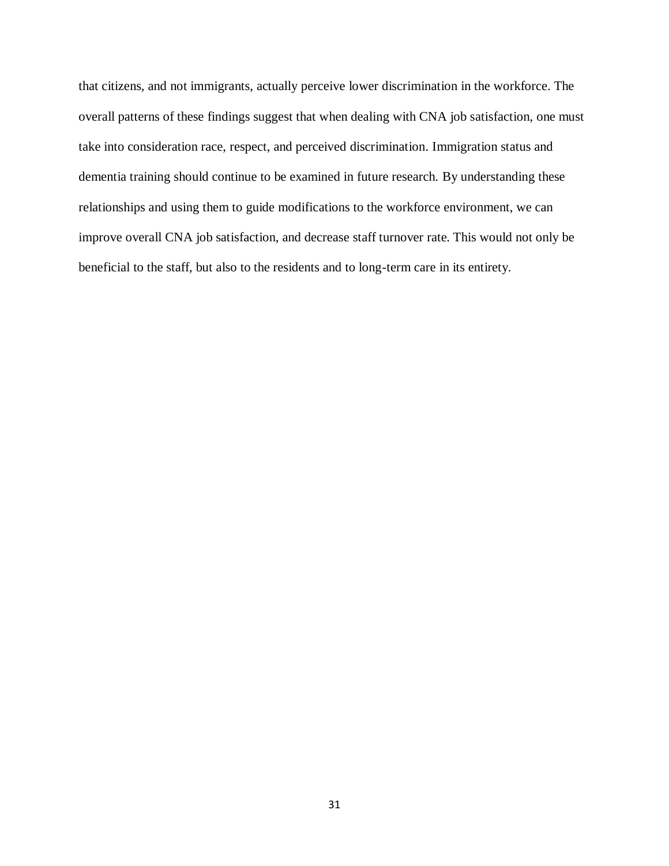that citizens, and not immigrants, actually perceive lower discrimination in the workforce. The overall patterns of these findings suggest that when dealing with CNA job satisfaction, one must take into consideration race, respect, and perceived discrimination. Immigration status and dementia training should continue to be examined in future research. By understanding these relationships and using them to guide modifications to the workforce environment, we can improve overall CNA job satisfaction, and decrease staff turnover rate. This would not only be beneficial to the staff, but also to the residents and to long-term care in its entirety.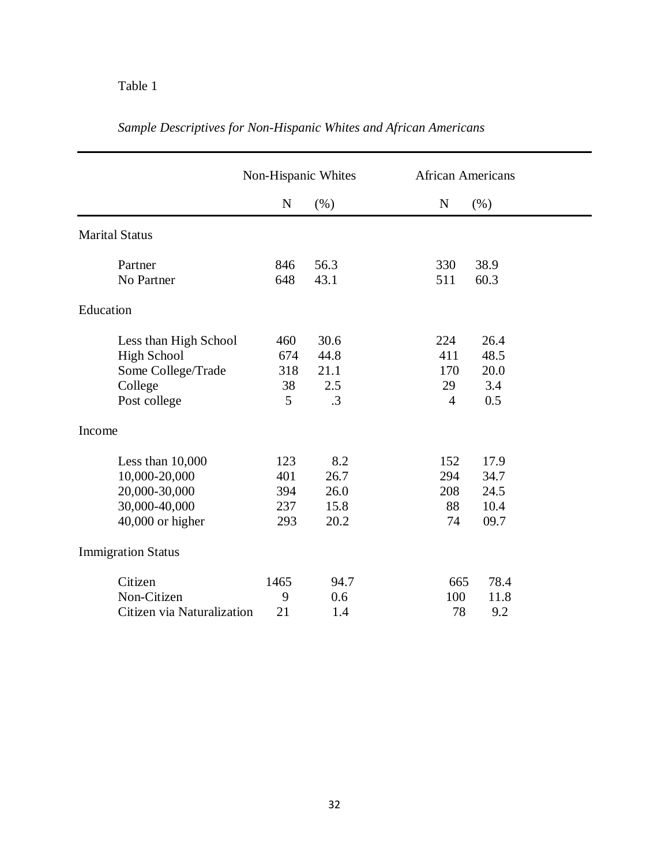## Table 1

|                            | Non-Hispanic Whites |           | <b>African Americans</b> |
|----------------------------|---------------------|-----------|--------------------------|
|                            | $\mathbf N$         | (% )      | $\mathbf N$<br>(% )      |
| <b>Marital Status</b>      |                     |           |                          |
| Partner                    | 846                 | 56.3      | 330<br>38.9              |
| No Partner                 | 648                 | 43.1      | 511<br>60.3              |
| Education                  |                     |           |                          |
| Less than High School      | 460                 | 30.6      | 224<br>26.4              |
| <b>High School</b>         | 674                 | 44.8      | 48.5<br>411              |
| Some College/Trade         | 318                 | 21.1      | 20.0<br>170              |
| College                    | 38                  | 2.5       | 3.4<br>29                |
| Post college               | 5                   | $\cdot$ 3 | 0.5<br>$\overline{4}$    |
| Income                     |                     |           |                          |
| Less than 10,000           | 123                 | 8.2       | 152<br>17.9              |
| 10,000-20,000              | 401                 | 26.7      | 294<br>34.7              |
| 20,000-30,000              | 394                 | 26.0      | 208<br>24.5              |
| 30,000-40,000              | 237                 | 15.8      | 10.4<br>88               |
| 40,000 or higher           | 293                 | 20.2      | 09.7<br>74               |
| <b>Immigration Status</b>  |                     |           |                          |
| Citizen                    | 1465                | 94.7      | 78.4<br>665              |
| Non-Citizen                | 9                   | 0.6       | 100<br>11.8              |
| Citizen via Naturalization | 21                  | 1.4       | 78<br>9.2                |

## *Sample Descriptives for Non-Hispanic Whites and African Americans*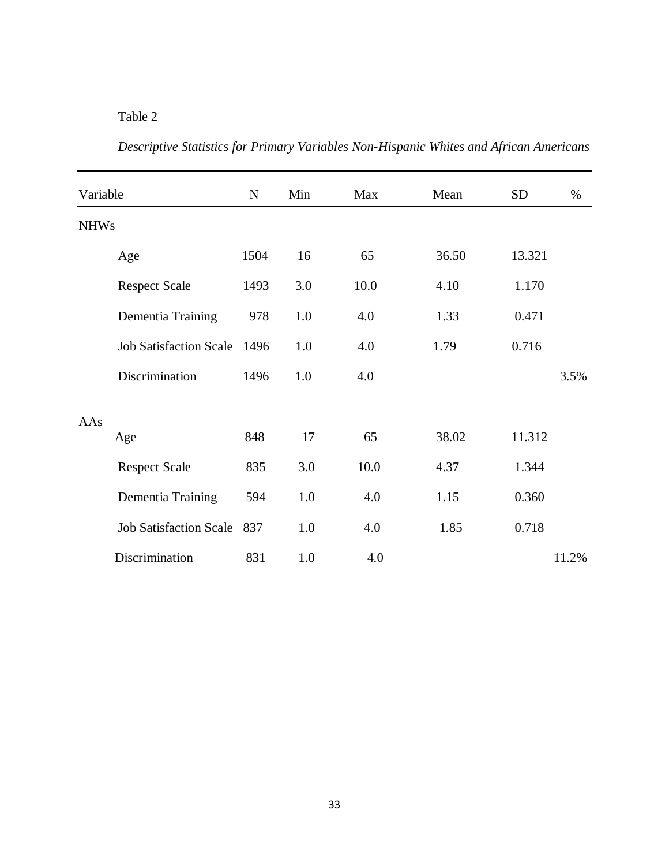## Table 2

| Variable    |                               | ${\bf N}$ | Min | Max  | Mean  | <b>SD</b> | %     |
|-------------|-------------------------------|-----------|-----|------|-------|-----------|-------|
| <b>NHWs</b> |                               |           |     |      |       |           |       |
|             | Age                           | 1504      | 16  | 65   | 36.50 | 13.321    |       |
|             | <b>Respect Scale</b>          | 1493      | 3.0 | 10.0 | 4.10  | 1.170     |       |
|             | Dementia Training             | 978       | 1.0 | 4.0  | 1.33  | 0.471     |       |
|             | <b>Job Satisfaction Scale</b> | 1496      | 1.0 | 4.0  | 1.79  | 0.716     |       |
|             | Discrimination                | 1496      | 1.0 | 4.0  |       |           | 3.5%  |
| AAs         |                               |           |     |      |       |           |       |
|             | Age                           | 848       | 17  | 65   | 38.02 | 11.312    |       |
|             | <b>Respect Scale</b>          | 835       | 3.0 | 10.0 | 4.37  | 1.344     |       |
|             | Dementia Training             | 594       | 1.0 | 4.0  | 1.15  | 0.360     |       |
|             | <b>Job Satisfaction Scale</b> | 837       | 1.0 | 4.0  | 1.85  | 0.718     |       |
|             | Discrimination                | 831       | 1.0 | 4.0  |       |           | 11.2% |

*Descriptive Statistics for Primary Variables Non-Hispanic Whites and African Americans*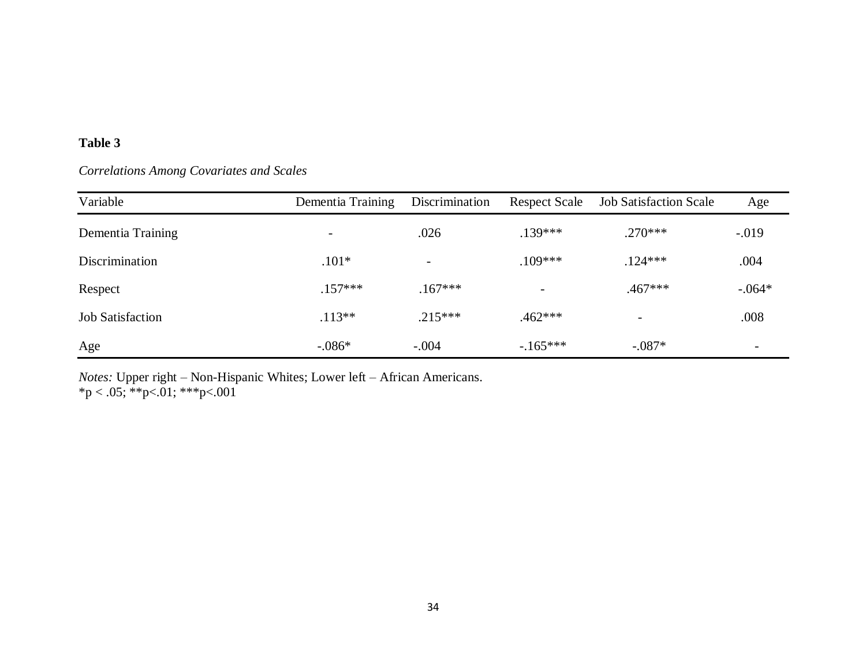## **Table 3**

## *Correlations Among Covariates and Scales*

| Variable                | Dementia Training        | Discrimination | <b>Respect Scale</b> | <b>Job Satisfaction Scale</b> | Age                      |
|-------------------------|--------------------------|----------------|----------------------|-------------------------------|--------------------------|
| Dementia Training       | $\overline{\phantom{a}}$ | .026           | $.139***$            | $.270***$                     | $-.019$                  |
| <b>Discrimination</b>   | $.101*$                  |                | $.109***$            | $.124***$                     | .004                     |
| Respect                 | $.157***$                | $.167***$      |                      | $.467***$                     | $-.064*$                 |
| <b>Job Satisfaction</b> | $.113**$                 | $.215***$      | $.462***$            |                               | .008                     |
| Age                     | $-.086*$                 | $-.004$        | $-165***$            | $-.087*$                      | $\overline{\phantom{0}}$ |

*Notes:* Upper right – Non-Hispanic Whites; Lower left – African Americans.  $*p < .05; **p<.01; **p<.001$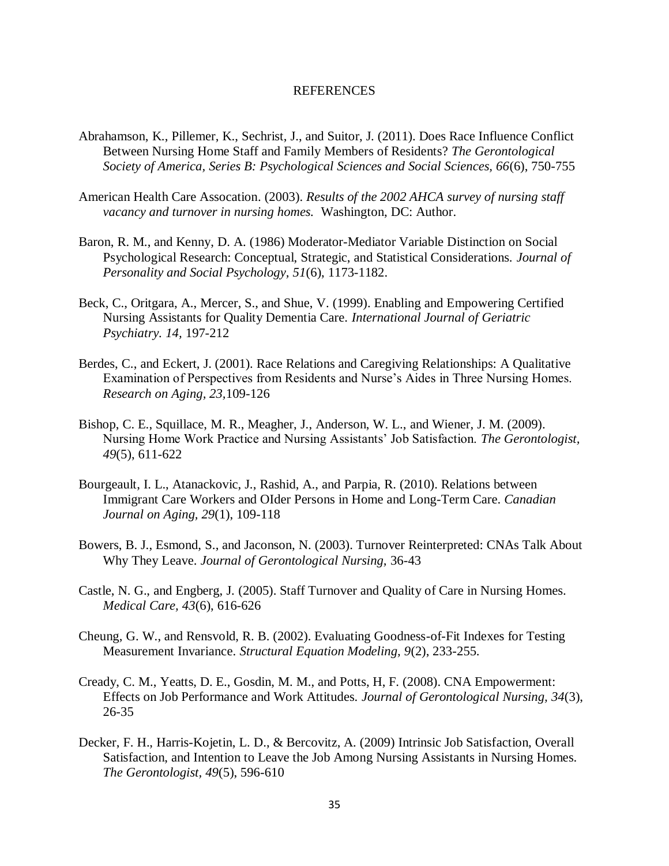#### REFERENCES

- Abrahamson, K., Pillemer, K., Sechrist, J., and Suitor, J. (2011). Does Race Influence Conflict Between Nursing Home Staff and Family Members of Residents? *The Gerontological Society of America, Series B: Psychological Sciences and Social Sciences, 66*(6), 750-755
- American Health Care Assocation. (2003). *Results of the 2002 AHCA survey of nursing staff vacancy and turnover in nursing homes.* Washington, DC: Author.
- Baron, R. M., and Kenny, D. A. (1986) Moderator-Mediator Variable Distinction on Social Psychological Research: Conceptual, Strategic, and Statistical Considerations. *Journal of Personality and Social Psychology, 51*(6), 1173-1182.
- Beck, C., Oritgara, A., Mercer, S., and Shue, V. (1999). Enabling and Empowering Certified Nursing Assistants for Quality Dementia Care. *International Journal of Geriatric Psychiatry. 14,* 197-212
- Berdes, C., and Eckert, J. (2001). Race Relations and Caregiving Relationships: A Qualitative Examination of Perspectives from Residents and Nurse's Aides in Three Nursing Homes. *Research on Aging, 23,*109-126
- Bishop, C. E., Squillace, M. R., Meagher, J., Anderson, W. L., and Wiener, J. M. (2009). Nursing Home Work Practice and Nursing Assistants' Job Satisfaction. *The Gerontologist, 49*(5), 611-622
- Bourgeault, I. L., Atanackovic, J., Rashid, A., and Parpia, R. (2010). Relations between Immigrant Care Workers and OIder Persons in Home and Long-Term Care. *Canadian Journal on Aging, 29*(1), 109-118
- Bowers, B. J., Esmond, S., and Jaconson, N. (2003). Turnover Reinterpreted: CNAs Talk About Why They Leave. *Journal of Gerontological Nursing,* 36-43
- Castle, N. G., and Engberg, J. (2005). Staff Turnover and Quality of Care in Nursing Homes. *Medical Care, 43*(6), 616-626
- Cheung, G. W., and Rensvold, R. B. (2002). Evaluating Goodness-of-Fit Indexes for Testing Measurement Invariance. *Structural Equation Modeling, 9*(2), 233-255.
- Cready, C. M., Yeatts, D. E., Gosdin, M. M., and Potts, H, F. (2008). CNA Empowerment: Effects on Job Performance and Work Attitudes. *Journal of Gerontological Nursing, 34*(3), 26-35
- Decker, F. H., Harris-Kojetin, L. D., & Bercovitz, A. (2009) Intrinsic Job Satisfaction, Overall Satisfaction, and Intention to Leave the Job Among Nursing Assistants in Nursing Homes. *The Gerontologist, 49*(5), 596-610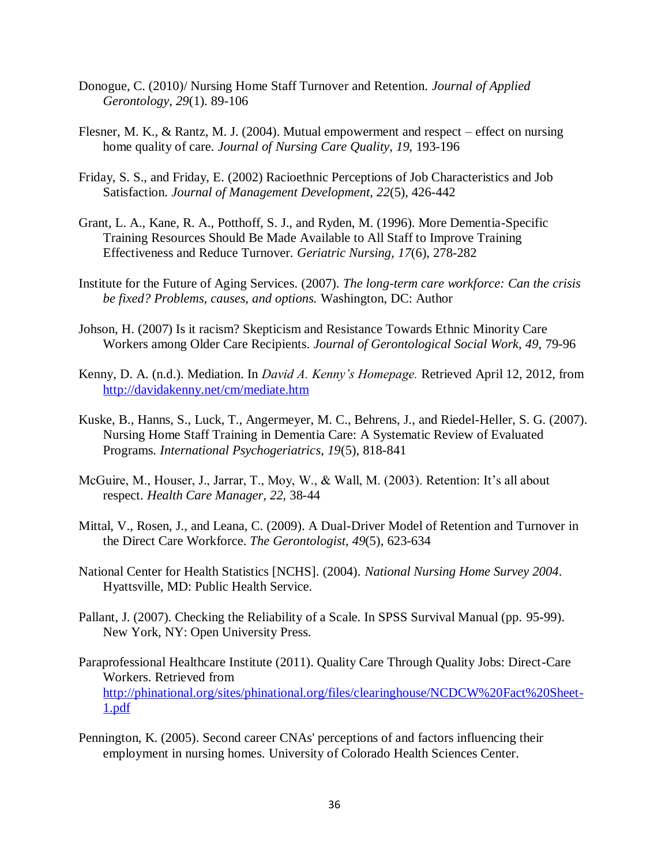- Donogue, C. (2010)/ Nursing Home Staff Turnover and Retention. *Journal of Applied Gerontology, 29*(1). 89-106
- Flesner, M. K., & Rantz, M. J. (2004). Mutual empowerment and respect effect on nursing home quality of care. *Journal of Nursing Care Quality, 19,* 193-196
- Friday, S. S., and Friday, E. (2002) Racioethnic Perceptions of Job Characteristics and Job Satisfaction. *Journal of Management Development, 22*(5), 426-442
- Grant, L. A., Kane, R. A., Potthoff, S. J., and Ryden, M. (1996). More Dementia-Specific Training Resources Should Be Made Available to All Staff to Improve Training Effectiveness and Reduce Turnover. *Geriatric Nursing, 17*(6), 278-282
- Institute for the Future of Aging Services. (2007). *The long-term care workforce: Can the crisis be fixed? Problems, causes, and options.* Washington, DC: Author
- Johson, H. (2007) Is it racism? Skepticism and Resistance Towards Ethnic Minority Care Workers among Older Care Recipients. *Journal of Gerontological Social Work, 49,* 79-96
- Kenny, D. A. (n.d.). Mediation. In *David A. Kenny's Homepage.* Retrieved April 12, 2012, from <http://davidakenny.net/cm/mediate.htm>
- Kuske, B., Hanns, S., Luck, T., Angermeyer, M. C., Behrens, J., and Riedel-Heller, S. G. (2007). Nursing Home Staff Training in Dementia Care: A Systematic Review of Evaluated Programs. *International Psychogeriatrics, 19*(5), 818-841
- McGuire, M., Houser, J., Jarrar, T., Moy, W., & Wall, M. (2003). Retention: It's all about respect. *Health Care Manager, 22,* 38-44
- Mittal, V., Rosen, J., and Leana, C. (2009). A Dual-Driver Model of Retention and Turnover in the Direct Care Workforce. *The Gerontologist, 49*(5), 623-634
- National Center for Health Statistics [NCHS]. (2004). *National Nursing Home Survey 2004*. Hyattsville, MD: Public Health Service.
- Pallant, J. (2007). Checking the Reliability of a Scale. In SPSS Survival Manual (pp. 95-99). New York, NY: Open University Press.
- Paraprofessional Healthcare Institute (2011). Quality Care Through Quality Jobs: Direct-Care Workers. Retrieved from [http://phinational.org/sites/phinational.org/files/clearinghouse/NCDCW%20Fact%20Sheet-](http://phinational.org/sites/phinational.org/files/clearinghouse/NCDCW%20Fact%20Sheet-1.pdf)[1.pdf](http://phinational.org/sites/phinational.org/files/clearinghouse/NCDCW%20Fact%20Sheet-1.pdf)
- Pennington, K. (2005). Second career CNAs' perceptions of and factors influencing their employment in nursing homes. University of Colorado Health Sciences Center.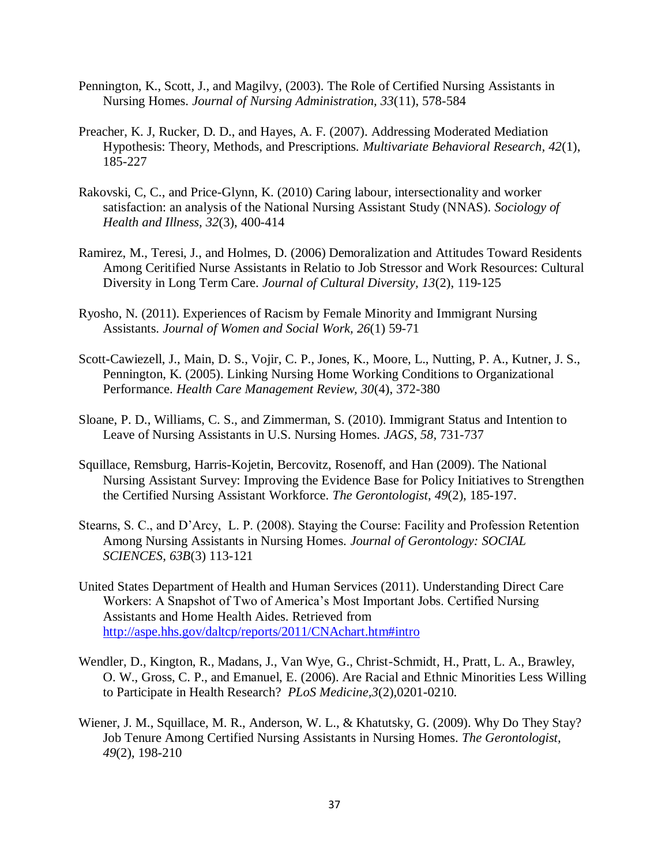- Pennington, K., Scott, J., and Magilvy, (2003). The Role of Certified Nursing Assistants in Nursing Homes. *Journal of Nursing Administration, 33*(11), 578-584
- Preacher, K. J, Rucker, D. D., and Hayes, A. F. (2007). Addressing Moderated Mediation Hypothesis: Theory, Methods, and Prescriptions. *Multivariate Behavioral Research, 42*(1), 185-227
- Rakovski, C, C., and Price-Glynn, K. (2010) Caring labour, intersectionality and worker satisfaction: an analysis of the National Nursing Assistant Study (NNAS). *Sociology of Health and Illness, 32*(3), 400-414
- Ramirez, M., Teresi, J., and Holmes, D. (2006) Demoralization and Attitudes Toward Residents Among Ceritified Nurse Assistants in Relatio to Job Stressor and Work Resources: Cultural Diversity in Long Term Care. *Journal of Cultural Diversity, 13*(2), 119-125
- Ryosho, N. (2011). Experiences of Racism by Female Minority and Immigrant Nursing Assistants. *Journal of Women and Social Work, 26*(1) 59-71
- Scott-Cawiezell, J., Main, D. S., Vojir, C. P., Jones, K., Moore, L., Nutting, P. A., Kutner, J. S., Pennington, K. (2005). Linking Nursing Home Working Conditions to Organizational Performance. *Health Care Management Review, 30*(4), 372-380
- Sloane, P. D., Williams, C. S., and Zimmerman, S. (2010). Immigrant Status and Intention to Leave of Nursing Assistants in U.S. Nursing Homes. *JAGS, 58,* 731-737
- Squillace, Remsburg, Harris-Kojetin, Bercovitz, Rosenoff, and Han (2009). The National Nursing Assistant Survey: Improving the Evidence Base for Policy Initiatives to Strengthen the Certified Nursing Assistant Workforce. *The Gerontologist*, *49*(2), 185-197.
- Stearns, S. C., and D'Arcy, L. P. (2008). Staying the Course: Facility and Profession Retention Among Nursing Assistants in Nursing Homes. *Journal of Gerontology: SOCIAL SCIENCES, 63B*(3) 113-121
- United States Department of Health and Human Services (2011). Understanding Direct Care Workers: A Snapshot of Two of America's Most Important Jobs. Certified Nursing Assistants and Home Health Aides. Retrieved from <http://aspe.hhs.gov/daltcp/reports/2011/CNAchart.htm#intro>
- Wendler, D., Kington, R., Madans, J., Van Wye, G., Christ-Schmidt, H., Pratt, L. A., Brawley, O. W., Gross, C. P., and Emanuel, E. (2006). Are Racial and Ethnic Minorities Less Willing to Participate in Health Research? *PLoS Medicine,3*(2),0201-0210.
- Wiener, J. M., Squillace, M. R., Anderson, W. L., & Khatutsky, G. (2009). Why Do They Stay? Job Tenure Among Certified Nursing Assistants in Nursing Homes. *The Gerontologist, 49*(2), 198-210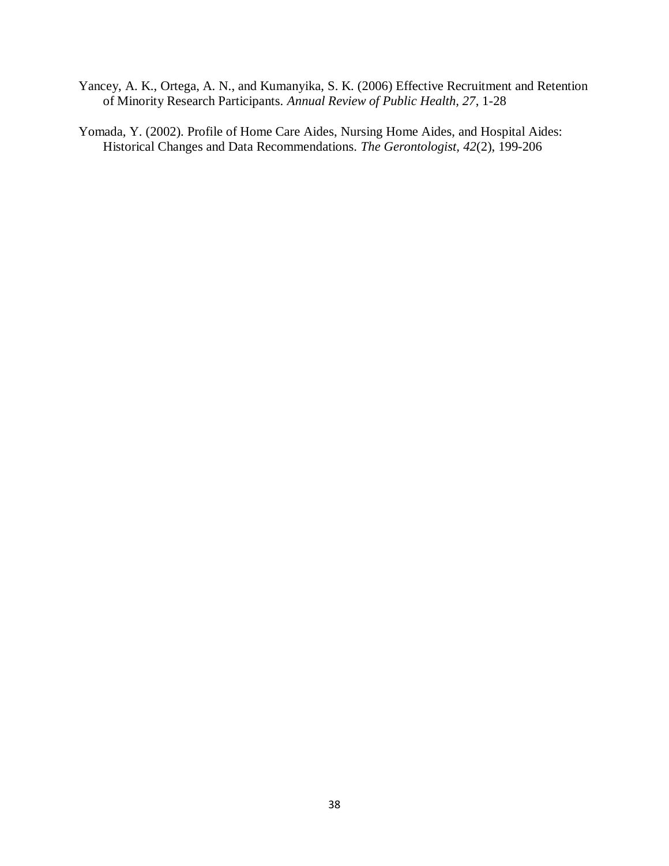- Yancey, A. K., Ortega, A. N., and Kumanyika, S. K. (2006) Effective Recruitment and Retention of Minority Research Participants. *Annual Review of Public Health, 27*, 1-28
- Yomada, Y. (2002). Profile of Home Care Aides, Nursing Home Aides, and Hospital Aides: Historical Changes and Data Recommendations. *The Gerontologist, 42*(2), 199-206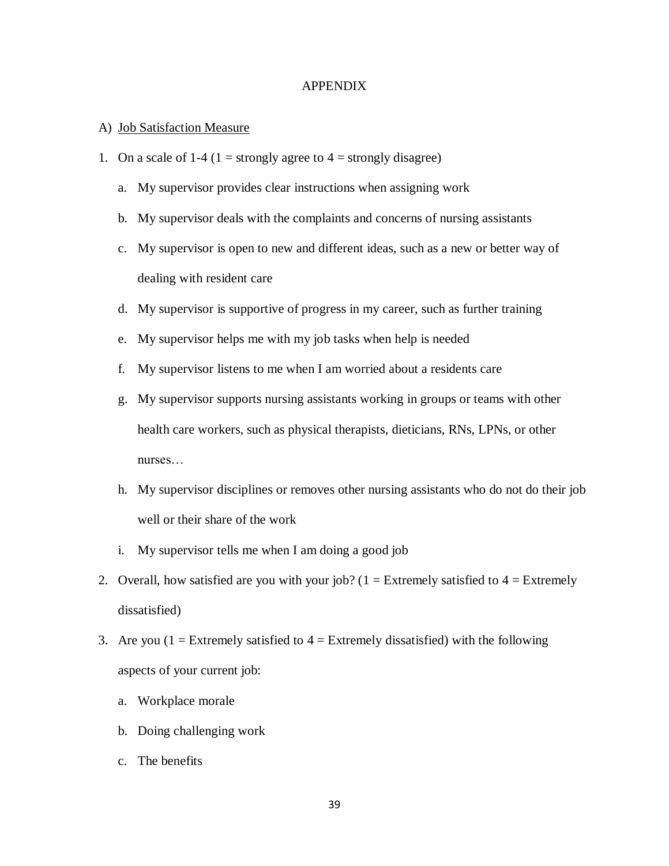#### APPENDIX

#### A) Job Satisfaction Measure

- 1. On a scale of 1-4 (1 = strongly agree to  $4$  = strongly disagree)
	- a. My supervisor provides clear instructions when assigning work
	- b. My supervisor deals with the complaints and concerns of nursing assistants
	- c. My supervisor is open to new and different ideas, such as a new or better way of dealing with resident care
	- d. My supervisor is supportive of progress in my career, such as further training
	- e. My supervisor helps me with my job tasks when help is needed
	- f. My supervisor listens to me when I am worried about a residents care
	- g. My supervisor supports nursing assistants working in groups or teams with other health care workers, such as physical therapists, dieticians, RNs, LPNs, or other nurses…
	- h. My supervisor disciplines or removes other nursing assistants who do not do their job well or their share of the work
	- i. My supervisor tells me when I am doing a good job
- 2. Overall, how satisfied are you with your job?  $(1 =$  Extremely satisfied to  $4 =$  Extremely dissatisfied)
- 3. Are you ( $1 =$  Extremely satisfied to  $4 =$  Extremely dissatisfied) with the following aspects of your current job:
	- a. Workplace morale
	- b. Doing challenging work
	- c. The benefits